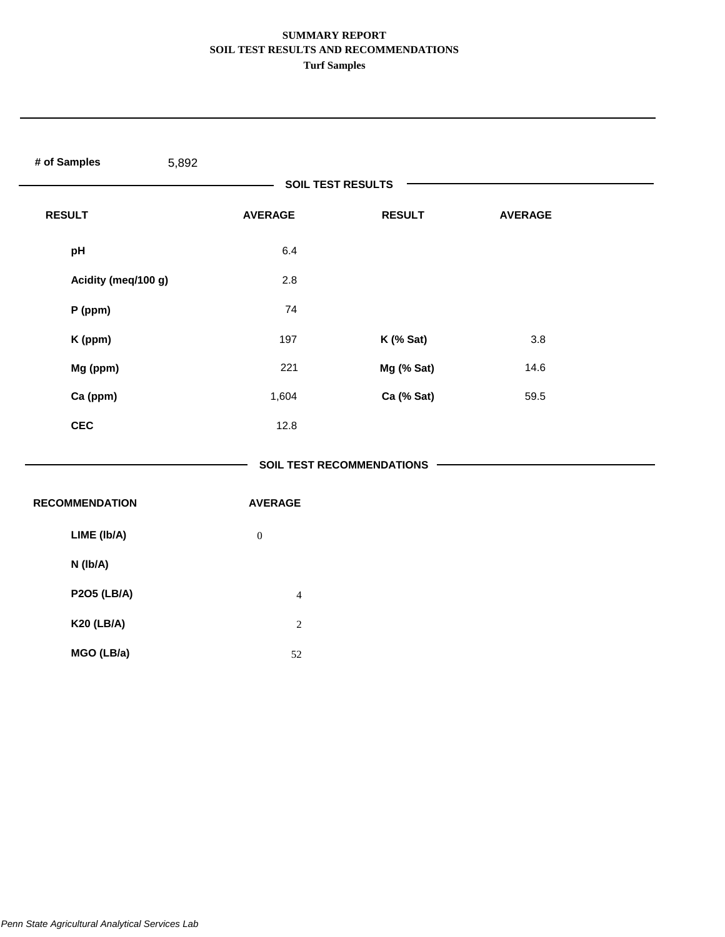| # of Samples<br>5,892 |                  |                                  |                |  |
|-----------------------|------------------|----------------------------------|----------------|--|
|                       |                  | <b>SOIL TEST RESULTS</b>         |                |  |
| <b>RESULT</b>         | <b>AVERAGE</b>   | <b>RESULT</b>                    | <b>AVERAGE</b> |  |
| pH                    | 6.4              |                                  |                |  |
| Acidity (meq/100 g)   | 2.8              |                                  |                |  |
| P (ppm)               | 74               |                                  |                |  |
| K (ppm)               | 197              | K (% Sat)                        | 3.8            |  |
| Mg (ppm)              | 221              | Mg (% Sat)                       | 14.6           |  |
| Ca (ppm)              | 1,604            | Ca (% Sat)                       | 59.5           |  |
| <b>CEC</b>            | 12.8             |                                  |                |  |
|                       |                  | <b>SOIL TEST RECOMMENDATIONS</b> |                |  |
| <b>RECOMMENDATION</b> | <b>AVERAGE</b>   |                                  |                |  |
| LIME (Ib/A)           | $\boldsymbol{0}$ |                                  |                |  |
| N (Ib/A)              |                  |                                  |                |  |
| <b>P2O5 (LB/A)</b>    | $\overline{4}$   |                                  |                |  |
| <b>K20 (LB/A)</b>     | $\sqrt{2}$       |                                  |                |  |
| MGO (LB/a)            | 52               |                                  |                |  |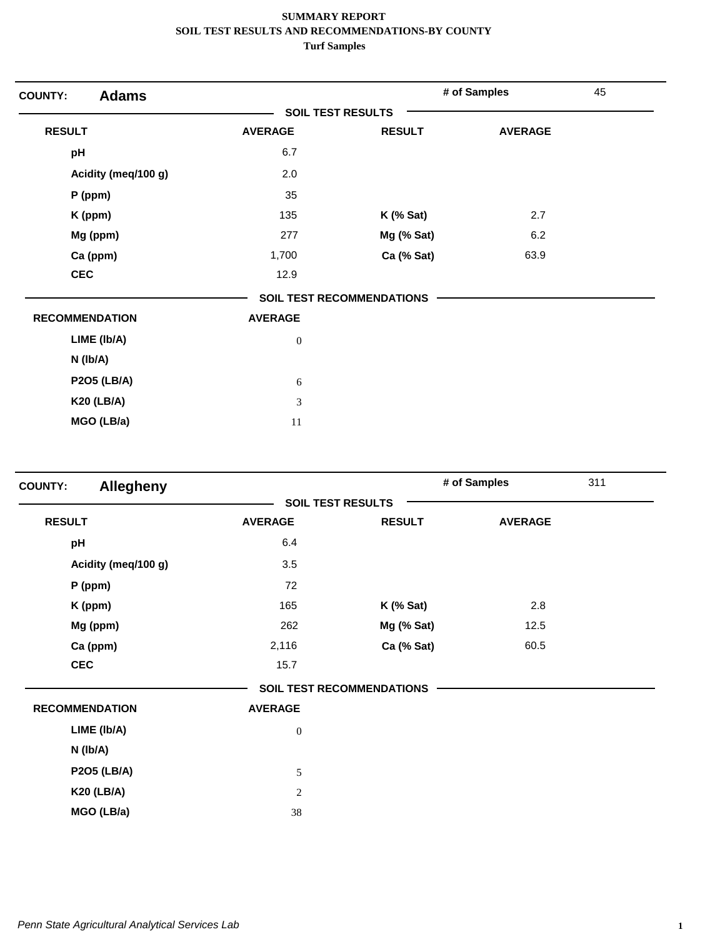| <b>Adams</b><br><b>COUNTY:</b> |                          |                                  | # of Samples   | 45 |
|--------------------------------|--------------------------|----------------------------------|----------------|----|
|                                | <b>SOIL TEST RESULTS</b> |                                  |                |    |
| <b>RESULT</b>                  | <b>AVERAGE</b>           | <b>RESULT</b>                    | <b>AVERAGE</b> |    |
| pH                             | 6.7                      |                                  |                |    |
| Acidity (meq/100 g)            | 2.0                      |                                  |                |    |
| $P$ (ppm)                      | 35                       |                                  |                |    |
| K (ppm)                        | 135                      | $K$ (% Sat)                      | 2.7            |    |
| Mg (ppm)                       | 277                      | Mg (% Sat)                       | 6.2            |    |
| Ca (ppm)                       | 1,700                    | Ca (% Sat)                       | 63.9           |    |
| <b>CEC</b>                     | 12.9                     |                                  |                |    |
|                                |                          | <b>SOIL TEST RECOMMENDATIONS</b> |                |    |
| <b>RECOMMENDATION</b>          | <b>AVERAGE</b>           |                                  |                |    |
| LIME (Ib/A)                    | $\boldsymbol{0}$         |                                  |                |    |
| $N$ ( $lb/A$ )                 |                          |                                  |                |    |
| <b>P2O5 (LB/A)</b>             | 6                        |                                  |                |    |
| <b>K20 (LB/A)</b>              | 3                        |                                  |                |    |
| MGO (LB/a)                     | 11                       |                                  |                |    |

| <b>Allegheny</b><br><b>COUNTY:</b> |                  |                                  | # of Samples   | 311 |
|------------------------------------|------------------|----------------------------------|----------------|-----|
|                                    |                  | <b>SOIL TEST RESULTS</b>         |                |     |
| <b>RESULT</b>                      | <b>AVERAGE</b>   | <b>RESULT</b>                    | <b>AVERAGE</b> |     |
| pH                                 | 6.4              |                                  |                |     |
| Acidity (meq/100 g)                | 3.5              |                                  |                |     |
| P (ppm)                            | 72               |                                  |                |     |
| K (ppm)                            | 165              | $K$ (% Sat)                      | 2.8            |     |
| Mg (ppm)                           | 262              | Mg (% Sat)                       | 12.5           |     |
| Ca (ppm)                           | 2,116            | Ca (% Sat)                       | 60.5           |     |
| <b>CEC</b>                         | 15.7             |                                  |                |     |
|                                    |                  | <b>SOIL TEST RECOMMENDATIONS</b> |                |     |
| <b>RECOMMENDATION</b>              | <b>AVERAGE</b>   |                                  |                |     |
| LIME (Ib/A)                        | $\mathbf{0}$     |                                  |                |     |
| $N$ (lb/A)                         |                  |                                  |                |     |
| <b>P2O5 (LB/A)</b>                 | 5                |                                  |                |     |
| <b>K20 (LB/A)</b>                  | $\boldsymbol{2}$ |                                  |                |     |
| MGO (LB/a)                         | 38               |                                  |                |     |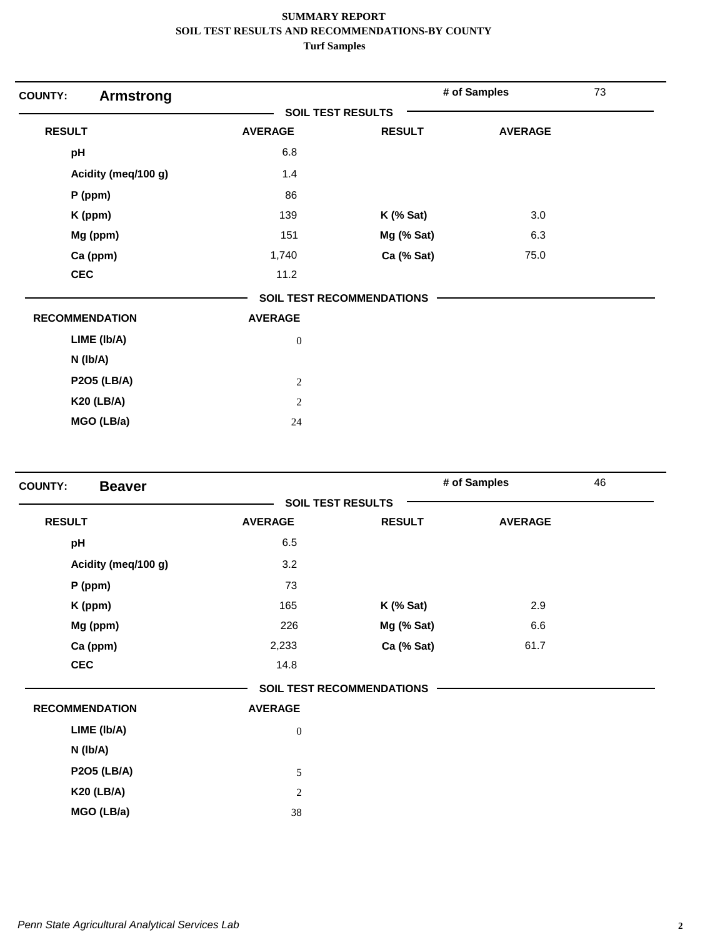| <b>COUNTY:</b><br><b>Armstrong</b> |                          |                                  | # of Samples   | 73 |
|------------------------------------|--------------------------|----------------------------------|----------------|----|
|                                    | <b>SOIL TEST RESULTS</b> |                                  |                |    |
| <b>RESULT</b>                      | <b>AVERAGE</b>           | <b>RESULT</b>                    | <b>AVERAGE</b> |    |
| pH                                 | 6.8                      |                                  |                |    |
| Acidity (meq/100 g)                | 1.4                      |                                  |                |    |
| P (ppm)                            | 86                       |                                  |                |    |
| K (ppm)                            | 139                      | $K$ (% Sat)                      | 3.0            |    |
| Mg (ppm)                           | 151                      | Mg (% Sat)                       | 6.3            |    |
| Ca (ppm)                           | 1,740                    | Ca (% Sat)                       | 75.0           |    |
| <b>CEC</b>                         | 11.2                     |                                  |                |    |
|                                    |                          | <b>SOIL TEST RECOMMENDATIONS</b> |                |    |
| <b>RECOMMENDATION</b>              | <b>AVERAGE</b>           |                                  |                |    |
| LIME (Ib/A)                        | $\boldsymbol{0}$         |                                  |                |    |
| $N$ ( $lb/A$ )                     |                          |                                  |                |    |
| <b>P2O5 (LB/A)</b>                 | $\sqrt{2}$               |                                  |                |    |
| <b>K20 (LB/A)</b>                  | $\overline{2}$           |                                  |                |    |
| MGO (LB/a)                         | 24                       |                                  |                |    |

| <b>SOIL TEST RESULTS</b><br><b>RESULT</b><br><b>AVERAGE</b><br><b>RESULT</b><br>6.5<br>pH<br>3.2<br>Acidity (meq/100 g)<br>73<br>P (ppm)<br>165<br>$K$ (% Sat)<br>K (ppm)<br>Mg (ppm)<br>226<br>Mg (% Sat)<br>Ca (ppm)<br>Ca (% Sat)<br>2,233<br><b>CEC</b><br>14.8 | 46             |
|---------------------------------------------------------------------------------------------------------------------------------------------------------------------------------------------------------------------------------------------------------------------|----------------|
|                                                                                                                                                                                                                                                                     |                |
|                                                                                                                                                                                                                                                                     | <b>AVERAGE</b> |
|                                                                                                                                                                                                                                                                     |                |
|                                                                                                                                                                                                                                                                     |                |
|                                                                                                                                                                                                                                                                     |                |
|                                                                                                                                                                                                                                                                     | 2.9            |
|                                                                                                                                                                                                                                                                     | 6.6            |
|                                                                                                                                                                                                                                                                     | 61.7           |
|                                                                                                                                                                                                                                                                     |                |
| <b>SOIL TEST RECOMMENDATIONS</b>                                                                                                                                                                                                                                    |                |
| <b>RECOMMENDATION</b><br><b>AVERAGE</b>                                                                                                                                                                                                                             |                |
| LIME (Ib/A)<br>$\mathbf{0}$                                                                                                                                                                                                                                         |                |
| N (Ib/A)                                                                                                                                                                                                                                                            |                |
| <b>P2O5 (LB/A)</b><br>5                                                                                                                                                                                                                                             |                |
| <b>K20 (LB/A)</b><br>$\sqrt{2}$                                                                                                                                                                                                                                     |                |
| MGO (LB/a)<br>38                                                                                                                                                                                                                                                    |                |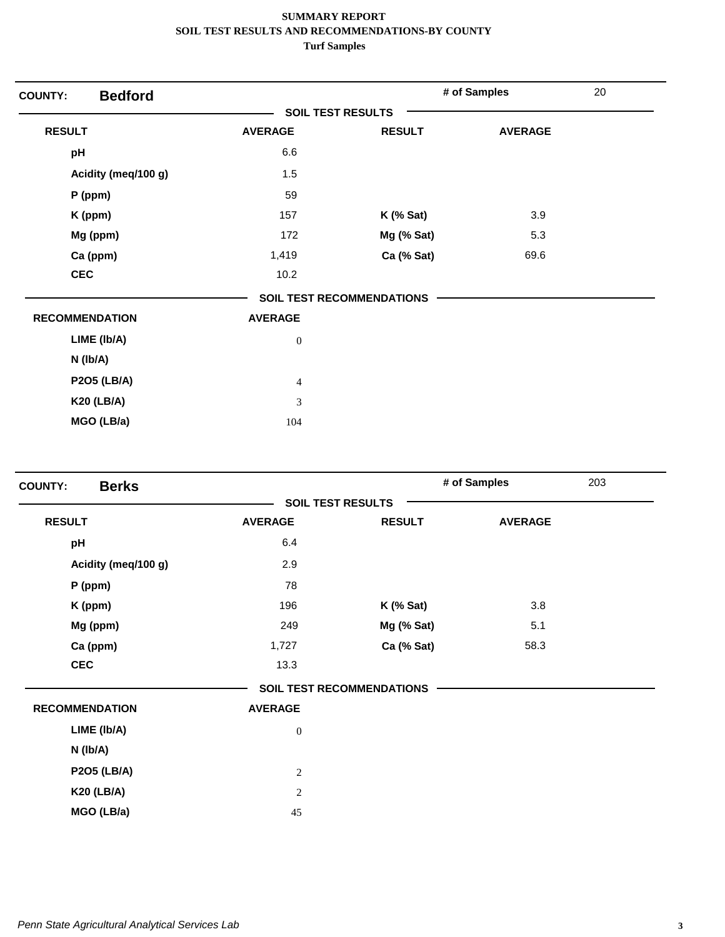| <b>Bedford</b><br><b>COUNTY:</b> |                          |                                  | # of Samples   | 20 |
|----------------------------------|--------------------------|----------------------------------|----------------|----|
|                                  | <b>SOIL TEST RESULTS</b> |                                  |                |    |
| <b>RESULT</b>                    | <b>AVERAGE</b>           | <b>RESULT</b>                    | <b>AVERAGE</b> |    |
| pH                               | 6.6                      |                                  |                |    |
| Acidity (meq/100 g)              | 1.5                      |                                  |                |    |
| $P$ (ppm)                        | 59                       |                                  |                |    |
| K (ppm)                          | 157                      | $K$ (% Sat)                      | 3.9            |    |
| Mg (ppm)                         | 172                      | Mg (% Sat)                       | 5.3            |    |
| Ca (ppm)                         | 1,419                    | Ca (% Sat)                       | 69.6           |    |
| <b>CEC</b>                       | 10.2                     |                                  |                |    |
|                                  |                          | <b>SOIL TEST RECOMMENDATIONS</b> |                |    |
| <b>RECOMMENDATION</b>            | <b>AVERAGE</b>           |                                  |                |    |
| LIME (Ib/A)                      | $\boldsymbol{0}$         |                                  |                |    |
| N (Ib/A)                         |                          |                                  |                |    |
| <b>P2O5 (LB/A)</b>               | $\overline{4}$           |                                  |                |    |
| <b>K20 (LB/A)</b>                | 3                        |                                  |                |    |
| MGO (LB/a)                       | 104                      |                                  |                |    |

| <b>Berks</b><br><b>COUNTY:</b> |                  |                                  | # of Samples   | 203 |
|--------------------------------|------------------|----------------------------------|----------------|-----|
|                                |                  | <b>SOIL TEST RESULTS</b>         |                |     |
| <b>RESULT</b>                  | <b>AVERAGE</b>   | <b>RESULT</b>                    | <b>AVERAGE</b> |     |
| pH                             | 6.4              |                                  |                |     |
| Acidity (meq/100 g)            | 2.9              |                                  |                |     |
| $P$ (ppm)                      | 78               |                                  |                |     |
| K (ppm)                        | 196              | $K$ (% Sat)                      | 3.8            |     |
| Mg (ppm)                       | 249              | Mg (% Sat)                       | 5.1            |     |
| Ca (ppm)                       | 1,727            | Ca (% Sat)                       | 58.3           |     |
| <b>CEC</b>                     | 13.3             |                                  |                |     |
|                                |                  | <b>SOIL TEST RECOMMENDATIONS</b> |                |     |
| <b>RECOMMENDATION</b>          | <b>AVERAGE</b>   |                                  |                |     |
| LIME (Ib/A)                    | $\boldsymbol{0}$ |                                  |                |     |
| N (Ib/A)                       |                  |                                  |                |     |
| <b>P2O5 (LB/A)</b>             | $\mathbf{2}$     |                                  |                |     |
| <b>K20 (LB/A)</b>              | $\overline{c}$   |                                  |                |     |
| MGO (LB/a)                     | 45               |                                  |                |     |
|                                |                  |                                  |                |     |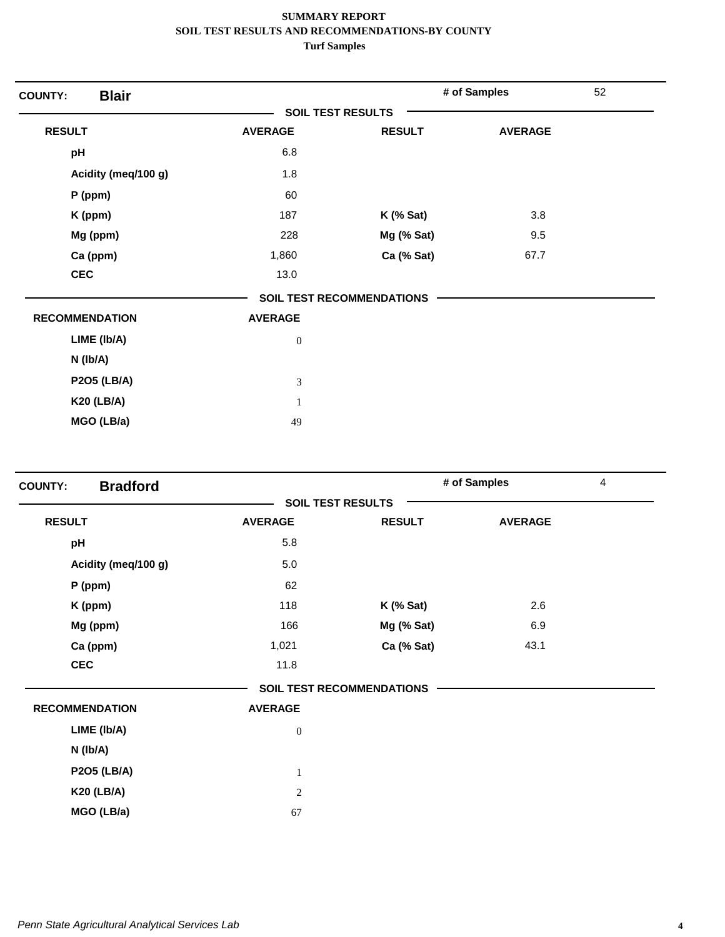| <b>Blair</b><br><b>COUNTY:</b> |                          |                                  | # of Samples   | 52 |
|--------------------------------|--------------------------|----------------------------------|----------------|----|
|                                | <b>SOIL TEST RESULTS</b> |                                  |                |    |
| <b>RESULT</b>                  | <b>AVERAGE</b>           | <b>RESULT</b>                    | <b>AVERAGE</b> |    |
| pH                             | 6.8                      |                                  |                |    |
| Acidity (meq/100 g)            | 1.8                      |                                  |                |    |
| $P$ (ppm)                      | 60                       |                                  |                |    |
| K (ppm)                        | 187                      | $K$ (% Sat)                      | 3.8            |    |
| Mg (ppm)                       | 228                      | Mg (% Sat)                       | 9.5            |    |
| Ca (ppm)                       | 1,860                    | Ca (% Sat)                       | 67.7           |    |
| <b>CEC</b>                     | 13.0                     |                                  |                |    |
|                                |                          | <b>SOIL TEST RECOMMENDATIONS</b> |                |    |
| <b>RECOMMENDATION</b>          | <b>AVERAGE</b>           |                                  |                |    |
| LIME (Ib/A)                    | $\boldsymbol{0}$         |                                  |                |    |
| $N$ ( $lb/A$ )                 |                          |                                  |                |    |
| <b>P2O5 (LB/A)</b>             | $\mathfrak{Z}$           |                                  |                |    |
| <b>K20 (LB/A)</b>              | $\mathbf{1}$             |                                  |                |    |
| MGO (LB/a)                     | 49                       |                                  |                |    |

| <b>Bradford</b><br><b>COUNTY:</b> |                |                                  | # of Samples   | $\overline{4}$ |
|-----------------------------------|----------------|----------------------------------|----------------|----------------|
|                                   |                | <b>SOIL TEST RESULTS</b>         |                |                |
| <b>RESULT</b>                     | <b>AVERAGE</b> | <b>RESULT</b>                    | <b>AVERAGE</b> |                |
| pH                                | 5.8            |                                  |                |                |
| Acidity (meq/100 g)               | $5.0\,$        |                                  |                |                |
| $P$ (ppm)                         | 62             |                                  |                |                |
| K (ppm)                           | 118            | $K$ (% Sat)                      | 2.6            |                |
| Mg (ppm)                          | 166            | Mg (% Sat)                       | 6.9            |                |
| Ca (ppm)                          | 1,021          | Ca (% Sat)                       | 43.1           |                |
| <b>CEC</b>                        | 11.8           |                                  |                |                |
|                                   |                | <b>SOIL TEST RECOMMENDATIONS</b> |                |                |
| <b>RECOMMENDATION</b>             | <b>AVERAGE</b> |                                  |                |                |
| LIME (Ib/A)                       | $\mathbf{0}$   |                                  |                |                |
| N (Ib/A)                          |                |                                  |                |                |
| <b>P2O5 (LB/A)</b>                | $\mathbf{1}$   |                                  |                |                |
| <b>K20 (LB/A)</b>                 | 2              |                                  |                |                |
| MGO (LB/a)                        | 67             |                                  |                |                |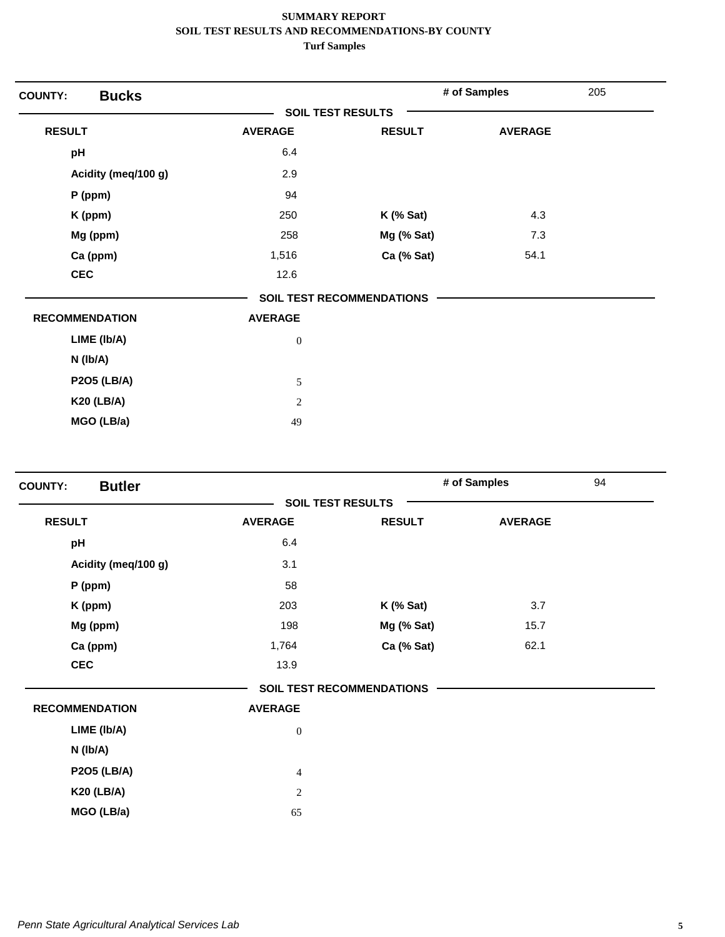| <b>COUNTY:</b>        | <b>Bucks</b>        |                          |                                  | # of Samples   | 205 |
|-----------------------|---------------------|--------------------------|----------------------------------|----------------|-----|
|                       |                     | <b>SOIL TEST RESULTS</b> |                                  |                |     |
| <b>RESULT</b>         |                     | <b>AVERAGE</b>           | <b>RESULT</b>                    | <b>AVERAGE</b> |     |
| pH                    |                     | 6.4                      |                                  |                |     |
|                       | Acidity (meq/100 g) | 2.9                      |                                  |                |     |
| $P$ (ppm)             |                     | 94                       |                                  |                |     |
| K (ppm)               |                     | 250                      | $K$ (% Sat)                      | 4.3            |     |
| Mg (ppm)              |                     | 258                      | Mg (% Sat)                       | 7.3            |     |
| Ca (ppm)              |                     | 1,516                    | Ca (% Sat)                       | 54.1           |     |
| <b>CEC</b>            |                     | 12.6                     |                                  |                |     |
|                       |                     |                          | <b>SOIL TEST RECOMMENDATIONS</b> |                |     |
| <b>RECOMMENDATION</b> |                     | <b>AVERAGE</b>           |                                  |                |     |
| LIME (Ib/A)           |                     | $\boldsymbol{0}$         |                                  |                |     |
| $N$ ( $lb/A$ )        |                     |                          |                                  |                |     |
| <b>P2O5 (LB/A)</b>    |                     | 5                        |                                  |                |     |
| <b>K20 (LB/A)</b>     |                     | $\sqrt{2}$               |                                  |                |     |
| MGO (LB/a)            |                     | 49                       |                                  |                |     |

| <b>Butler</b><br><b>COUNTY:</b> |                |                                  | # of Samples   | 94 |
|---------------------------------|----------------|----------------------------------|----------------|----|
|                                 |                | <b>SOIL TEST RESULTS</b>         |                |    |
| <b>RESULT</b>                   | <b>AVERAGE</b> | <b>RESULT</b>                    | <b>AVERAGE</b> |    |
| pH                              | 6.4            |                                  |                |    |
| Acidity (meq/100 g)             | 3.1            |                                  |                |    |
| P (ppm)                         | 58             |                                  |                |    |
| K (ppm)                         | 203            | $K$ (% Sat)                      | 3.7            |    |
| Mg (ppm)                        | 198            | Mg (% Sat)                       | 15.7           |    |
| Ca (ppm)                        | 1,764          | Ca (% Sat)                       | 62.1           |    |
| <b>CEC</b>                      | 13.9           |                                  |                |    |
|                                 |                | <b>SOIL TEST RECOMMENDATIONS</b> |                |    |
| <b>RECOMMENDATION</b>           | <b>AVERAGE</b> |                                  |                |    |
| LIME (Ib/A)                     | $\mathbf{0}$   |                                  |                |    |
| N (Ib/A)                        |                |                                  |                |    |
| <b>P2O5 (LB/A)</b>              | $\overline{4}$ |                                  |                |    |
| <b>K20 (LB/A)</b>               | $\sqrt{2}$     |                                  |                |    |
| MGO (LB/a)                      | 65             |                                  |                |    |
|                                 |                |                                  |                |    |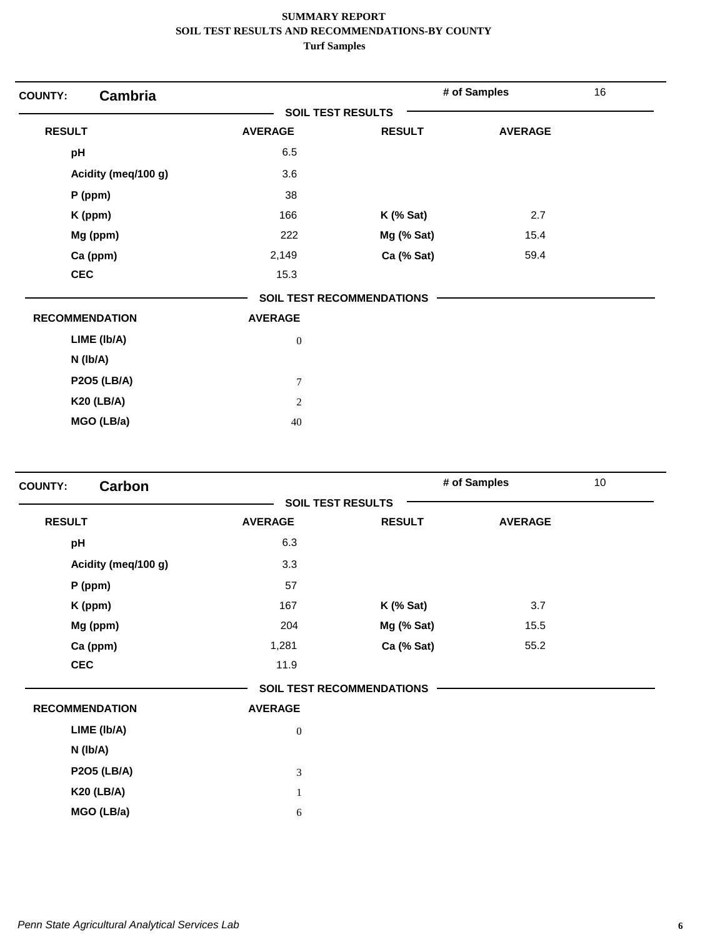| <b>Cambria</b><br><b>COUNTY:</b> |                  |                                  | # of Samples   | 16 |
|----------------------------------|------------------|----------------------------------|----------------|----|
|                                  |                  | <b>SOIL TEST RESULTS</b>         |                |    |
| <b>RESULT</b>                    | <b>AVERAGE</b>   | <b>RESULT</b>                    | <b>AVERAGE</b> |    |
| pH                               | 6.5              |                                  |                |    |
| Acidity (meq/100 g)              | 3.6              |                                  |                |    |
| $P$ (ppm)                        | 38               |                                  |                |    |
| K (ppm)                          | 166              | $K$ (% Sat)                      | 2.7            |    |
| Mg (ppm)                         | 222              | Mg (% Sat)                       | 15.4           |    |
| Ca (ppm)                         | 2,149            | Ca (% Sat)                       | 59.4           |    |
| <b>CEC</b>                       | 15.3             |                                  |                |    |
|                                  |                  | <b>SOIL TEST RECOMMENDATIONS</b> |                |    |
| <b>RECOMMENDATION</b>            | <b>AVERAGE</b>   |                                  |                |    |
| LIME (Ib/A)                      | $\boldsymbol{0}$ |                                  |                |    |
| N (Ib/A)                         |                  |                                  |                |    |
| <b>P2O5 (LB/A)</b>               | $\boldsymbol{7}$ |                                  |                |    |
| <b>K20 (LB/A)</b>                | $\overline{2}$   |                                  |                |    |
| MGO (LB/a)                       | 40               |                                  |                |    |

| Carbon<br><b>COUNTY:</b> |                          |                                  | # of Samples   | 10 <sup>1</sup> |
|--------------------------|--------------------------|----------------------------------|----------------|-----------------|
|                          | <b>SOIL TEST RESULTS</b> |                                  |                |                 |
| <b>RESULT</b>            | <b>AVERAGE</b>           | <b>RESULT</b>                    | <b>AVERAGE</b> |                 |
| pH                       | 6.3                      |                                  |                |                 |
| Acidity (meq/100 g)      | 3.3                      |                                  |                |                 |
| P (ppm)                  | 57                       |                                  |                |                 |
| K (ppm)                  | 167                      | $K$ (% Sat)                      | 3.7            |                 |
| Mg (ppm)                 | 204                      | Mg (% Sat)                       | 15.5           |                 |
| Ca (ppm)                 | 1,281                    | Ca (% Sat)                       | 55.2           |                 |
| <b>CEC</b>               | 11.9                     |                                  |                |                 |
|                          |                          | <b>SOIL TEST RECOMMENDATIONS</b> |                |                 |
| <b>RECOMMENDATION</b>    | <b>AVERAGE</b>           |                                  |                |                 |
| LIME (Ib/A)              | $\mathbf{0}$             |                                  |                |                 |
| N (Ib/A)                 |                          |                                  |                |                 |
| <b>P2O5 (LB/A)</b>       | $\mathfrak{Z}$           |                                  |                |                 |
| <b>K20 (LB/A)</b>        | $\mathbf{1}$             |                                  |                |                 |
| MGO (LB/a)               | 6                        |                                  |                |                 |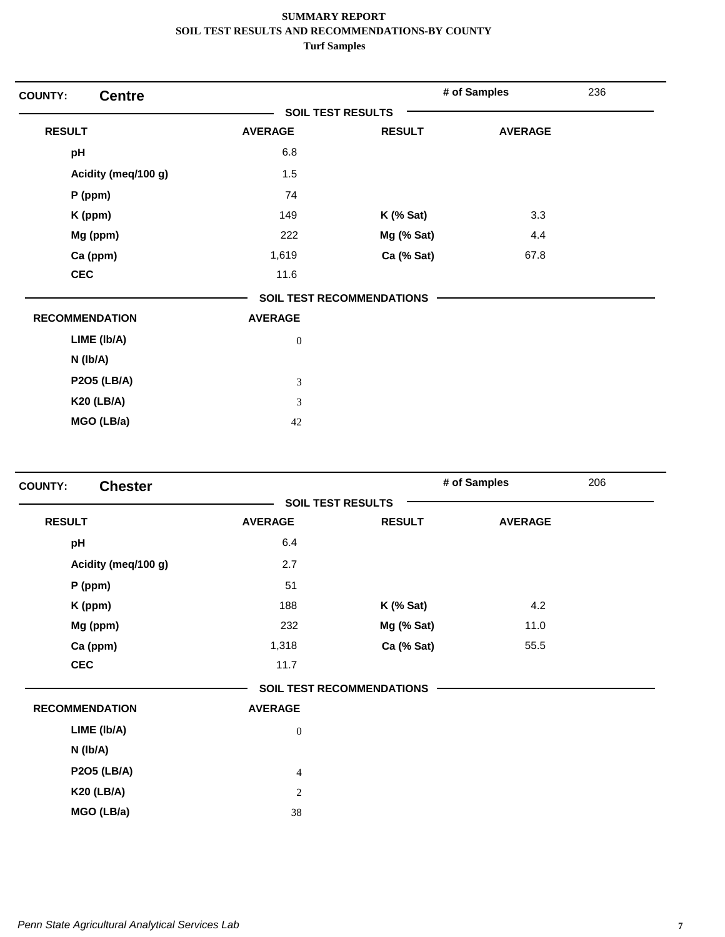| <b>Centre</b><br><b>COUNTY:</b> |                          |                                  | # of Samples   | 236 |
|---------------------------------|--------------------------|----------------------------------|----------------|-----|
|                                 | <b>SOIL TEST RESULTS</b> |                                  |                |     |
| <b>RESULT</b>                   | <b>AVERAGE</b>           | <b>RESULT</b>                    | <b>AVERAGE</b> |     |
| pH                              | 6.8                      |                                  |                |     |
| Acidity (meq/100 g)             | 1.5                      |                                  |                |     |
| $P$ (ppm)                       | 74                       |                                  |                |     |
| K (ppm)                         | 149                      | $K$ (% Sat)                      | 3.3            |     |
| Mg (ppm)                        | 222                      | Mg (% Sat)                       | 4.4            |     |
| Ca (ppm)                        | 1,619                    | Ca (% Sat)                       | 67.8           |     |
| <b>CEC</b>                      | 11.6                     |                                  |                |     |
|                                 |                          | <b>SOIL TEST RECOMMENDATIONS</b> |                |     |
| <b>RECOMMENDATION</b>           | <b>AVERAGE</b>           |                                  |                |     |
| LIME (Ib/A)                     | $\boldsymbol{0}$         |                                  |                |     |
| N (Ib/A)                        |                          |                                  |                |     |
| <b>P2O5 (LB/A)</b>              | 3                        |                                  |                |     |
| <b>K20 (LB/A)</b>               | 3                        |                                  |                |     |
| MGO (LB/a)                      | 42                       |                                  |                |     |

| <b>Chester</b><br><b>COUNTY:</b> |                          |                                  | # of Samples   | 206 |
|----------------------------------|--------------------------|----------------------------------|----------------|-----|
|                                  | <b>SOIL TEST RESULTS</b> |                                  |                |     |
| <b>RESULT</b>                    | <b>AVERAGE</b>           | <b>RESULT</b>                    | <b>AVERAGE</b> |     |
| pH                               | 6.4                      |                                  |                |     |
| Acidity (meq/100 g)              | 2.7                      |                                  |                |     |
| $P$ (ppm)                        | 51                       |                                  |                |     |
| K (ppm)                          | 188                      | $K$ (% Sat)                      | 4.2            |     |
| Mg (ppm)                         | 232                      | Mg (% Sat)                       | 11.0           |     |
| Ca (ppm)                         | 1,318                    | Ca (% Sat)                       | 55.5           |     |
| <b>CEC</b>                       | 11.7                     |                                  |                |     |
|                                  |                          | <b>SOIL TEST RECOMMENDATIONS</b> |                |     |
| <b>RECOMMENDATION</b>            | <b>AVERAGE</b>           |                                  |                |     |
| LIME (Ib/A)                      | $\mathbf{0}$             |                                  |                |     |
| N (Ib/A)                         |                          |                                  |                |     |
| <b>P2O5 (LB/A)</b>               | $\overline{4}$           |                                  |                |     |
| <b>K20 (LB/A)</b>                | $\overline{c}$           |                                  |                |     |
| MGO (LB/a)                       | 38                       |                                  |                |     |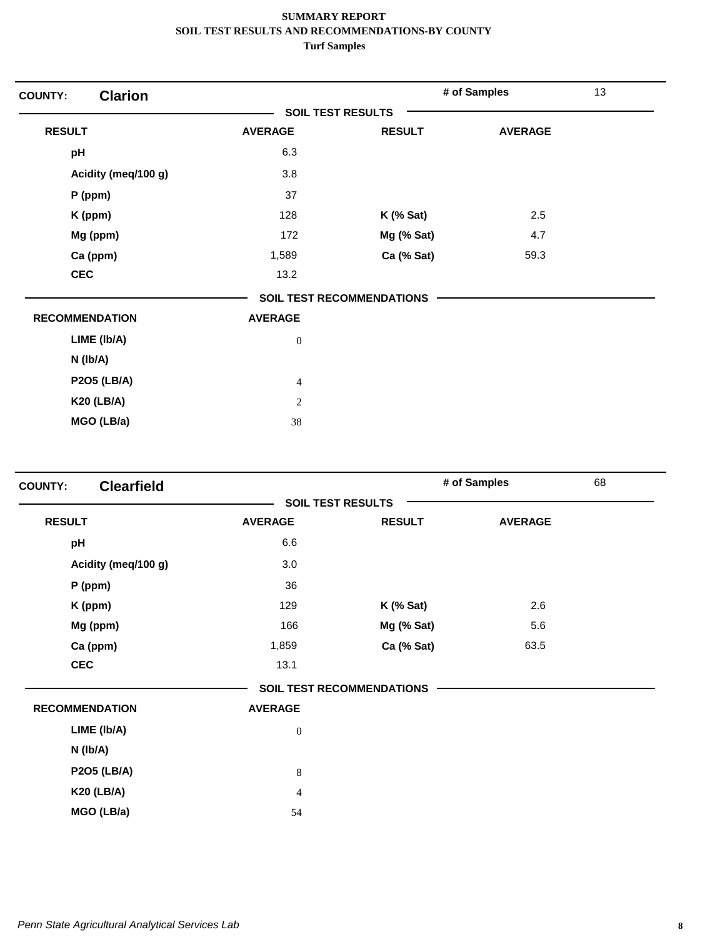| <b>Clarion</b><br><b>COUNTY:</b> |                          |                                  | # of Samples   | 13 |
|----------------------------------|--------------------------|----------------------------------|----------------|----|
|                                  | <b>SOIL TEST RESULTS</b> |                                  |                |    |
| <b>RESULT</b>                    | <b>AVERAGE</b>           | <b>RESULT</b>                    | <b>AVERAGE</b> |    |
| pH                               | 6.3                      |                                  |                |    |
| Acidity (meq/100 g)              | 3.8                      |                                  |                |    |
| P (ppm)                          | 37                       |                                  |                |    |
| K (ppm)                          | 128                      | $K$ (% Sat)                      | 2.5            |    |
| Mg (ppm)                         | 172                      | Mg (% Sat)                       | 4.7            |    |
| Ca (ppm)                         | 1,589                    | Ca (% Sat)                       | 59.3           |    |
| <b>CEC</b>                       | 13.2                     |                                  |                |    |
|                                  |                          | <b>SOIL TEST RECOMMENDATIONS</b> |                |    |
| <b>RECOMMENDATION</b>            | <b>AVERAGE</b>           |                                  |                |    |
| LIME (Ib/A)                      | $\boldsymbol{0}$         |                                  |                |    |
| $N$ (lb/A)                       |                          |                                  |                |    |
| <b>P2O5 (LB/A)</b>               | $\overline{4}$           |                                  |                |    |
| <b>K20 (LB/A)</b>                | $\mathbf{2}$             |                                  |                |    |
| MGO (LB/a)                       | 38                       |                                  |                |    |

| <b>Clearfield</b><br><b>COUNTY:</b> |                |                                  | # of Samples   | 68 |
|-------------------------------------|----------------|----------------------------------|----------------|----|
|                                     |                | <b>SOIL TEST RESULTS</b>         |                |    |
| <b>RESULT</b>                       | <b>AVERAGE</b> | <b>RESULT</b>                    | <b>AVERAGE</b> |    |
| pH                                  | 6.6            |                                  |                |    |
| Acidity (meq/100 g)                 | 3.0            |                                  |                |    |
| P (ppm)                             | 36             |                                  |                |    |
| K (ppm)                             | 129            | $K$ (% Sat)                      | 2.6            |    |
| Mg (ppm)                            | 166            | Mg (% Sat)                       | 5.6            |    |
| Ca (ppm)                            | 1,859          | Ca (% Sat)                       | 63.5           |    |
| <b>CEC</b>                          | 13.1           |                                  |                |    |
|                                     |                | <b>SOIL TEST RECOMMENDATIONS</b> |                |    |
| <b>RECOMMENDATION</b>               | <b>AVERAGE</b> |                                  |                |    |
| LIME (Ib/A)                         | $\mathbf{0}$   |                                  |                |    |
| N (Ib/A)                            |                |                                  |                |    |
| <b>P2O5 (LB/A)</b>                  | $8\,$          |                                  |                |    |
| <b>K20 (LB/A)</b>                   | $\overline{4}$ |                                  |                |    |
| MGO (LB/a)                          | 54             |                                  |                |    |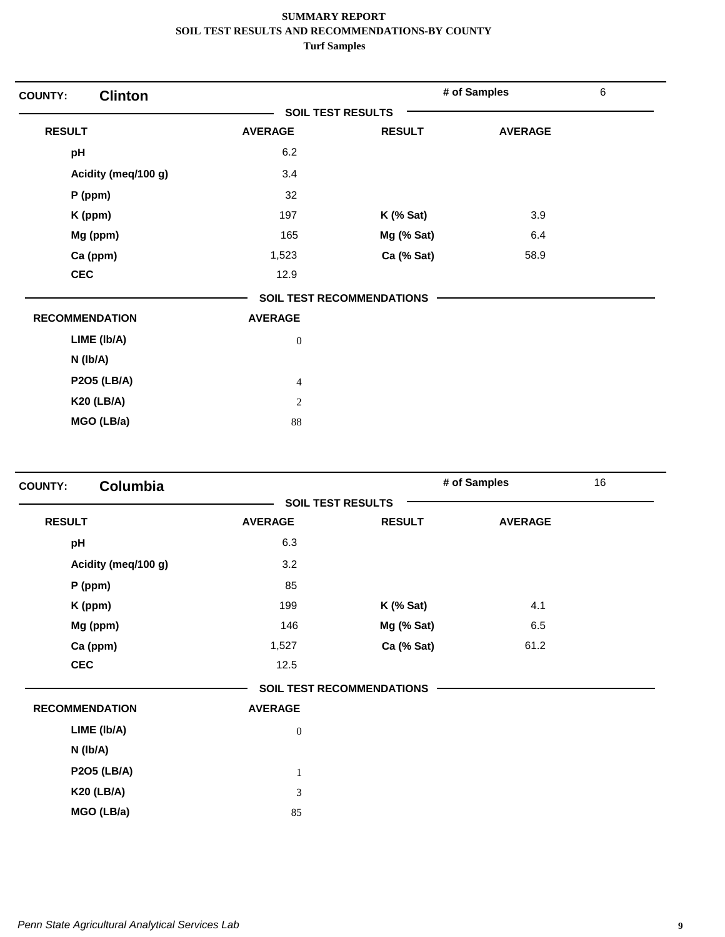| <b>Clinton</b><br><b>COUNTY:</b> |                          |                                  | # of Samples   | 6 |
|----------------------------------|--------------------------|----------------------------------|----------------|---|
|                                  | <b>SOIL TEST RESULTS</b> |                                  |                |   |
| <b>RESULT</b>                    | <b>AVERAGE</b>           | <b>RESULT</b>                    | <b>AVERAGE</b> |   |
| pH                               | 6.2                      |                                  |                |   |
| Acidity (meq/100 g)              | 3.4                      |                                  |                |   |
| $P$ (ppm)                        | 32                       |                                  |                |   |
| K (ppm)                          | 197                      | $K$ (% Sat)                      | 3.9            |   |
| Mg (ppm)                         | 165                      | Mg (% Sat)                       | 6.4            |   |
| Ca (ppm)                         | 1,523                    | Ca (% Sat)                       | 58.9           |   |
| <b>CEC</b>                       | 12.9                     |                                  |                |   |
|                                  |                          | <b>SOIL TEST RECOMMENDATIONS</b> |                |   |
| <b>RECOMMENDATION</b>            | <b>AVERAGE</b>           |                                  |                |   |
| LIME (Ib/A)                      | $\boldsymbol{0}$         |                                  |                |   |
| $N$ ( $lb/A$ )                   |                          |                                  |                |   |
| <b>P2O5 (LB/A)</b>               | $\overline{4}$           |                                  |                |   |
| <b>K20 (LB/A)</b>                | $\sqrt{2}$               |                                  |                |   |
| MGO (LB/a)                       | 88                       |                                  |                |   |

| <b>Columbia</b><br><b>COUNTY:</b> |                |                                  | # of Samples   | 16 |
|-----------------------------------|----------------|----------------------------------|----------------|----|
|                                   |                | <b>SOIL TEST RESULTS</b>         |                |    |
| <b>RESULT</b>                     | <b>AVERAGE</b> | <b>RESULT</b>                    | <b>AVERAGE</b> |    |
| pH                                | 6.3            |                                  |                |    |
| Acidity (meq/100 g)               | 3.2            |                                  |                |    |
| $P$ (ppm)                         | 85             |                                  |                |    |
| K (ppm)                           | 199            | $K$ (% Sat)                      | 4.1            |    |
| Mg (ppm)                          | 146            | Mg (% Sat)                       | 6.5            |    |
| Ca (ppm)                          | 1,527          | Ca (% Sat)                       | 61.2           |    |
| <b>CEC</b>                        | 12.5           |                                  |                |    |
|                                   |                | <b>SOIL TEST RECOMMENDATIONS</b> |                |    |
| <b>RECOMMENDATION</b>             | <b>AVERAGE</b> |                                  |                |    |
| LIME (Ib/A)                       | $\mathbf{0}$   |                                  |                |    |
| N (Ib/A)                          |                |                                  |                |    |
| <b>P2O5 (LB/A)</b>                | $\mathbf{1}$   |                                  |                |    |
| <b>K20 (LB/A)</b>                 | 3              |                                  |                |    |
| MGO (LB/a)                        | 85             |                                  |                |    |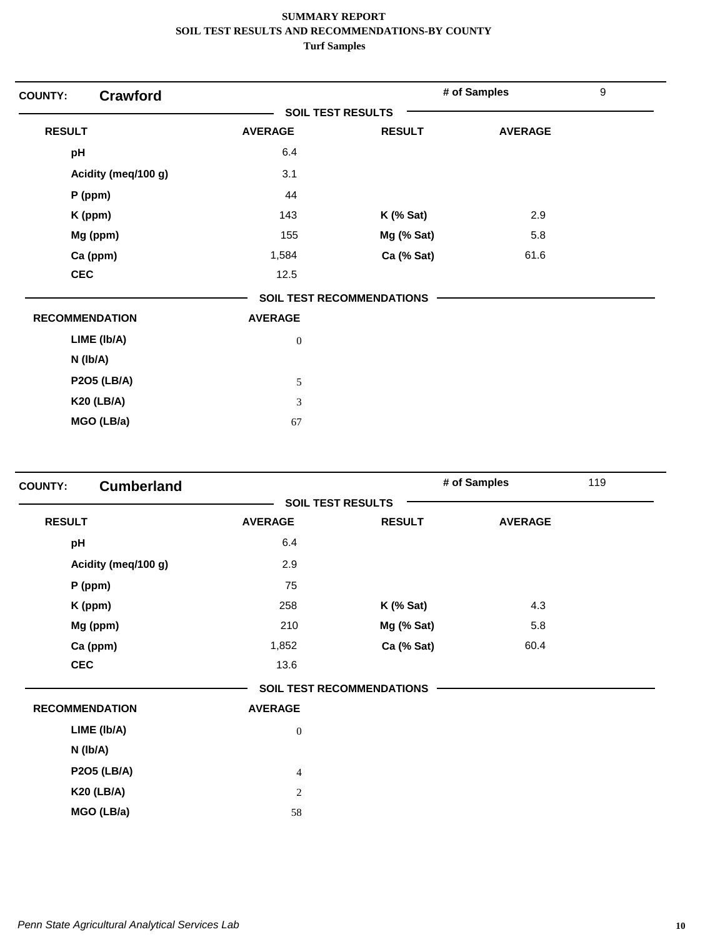| <b>COUNTY:</b>        | <b>Crawford</b>     |                          |                                  | # of Samples   | $\boldsymbol{9}$ |
|-----------------------|---------------------|--------------------------|----------------------------------|----------------|------------------|
|                       |                     | <b>SOIL TEST RESULTS</b> |                                  |                |                  |
| <b>RESULT</b>         |                     | <b>AVERAGE</b>           | <b>RESULT</b>                    | <b>AVERAGE</b> |                  |
| pH                    |                     | 6.4                      |                                  |                |                  |
|                       | Acidity (meq/100 g) | 3.1                      |                                  |                |                  |
|                       | $P$ (ppm)           | 44                       |                                  |                |                  |
|                       | K (ppm)             | 143                      | $K$ (% Sat)                      | 2.9            |                  |
|                       | Mg (ppm)            | 155                      | Mg (% Sat)                       | 5.8            |                  |
|                       | Ca (ppm)            | 1,584                    | Ca (% Sat)                       | 61.6           |                  |
| <b>CEC</b>            |                     | 12.5                     |                                  |                |                  |
|                       |                     |                          | <b>SOIL TEST RECOMMENDATIONS</b> |                |                  |
| <b>RECOMMENDATION</b> |                     | <b>AVERAGE</b>           |                                  |                |                  |
|                       | LIME (Ib/A)         | $\boldsymbol{0}$         |                                  |                |                  |
|                       | $N$ ( $lb/A$ )      |                          |                                  |                |                  |
|                       | <b>P2O5 (LB/A)</b>  | $\sqrt{5}$               |                                  |                |                  |
|                       | <b>K20 (LB/A)</b>   | $\mathfrak{Z}$           |                                  |                |                  |
|                       | MGO (LB/a)          | 67                       |                                  |                |                  |

| <b>COUNTY:</b> | <b>Cumberland</b>     |                          |                                  | # of Samples   | 119 |
|----------------|-----------------------|--------------------------|----------------------------------|----------------|-----|
|                |                       | <b>SOIL TEST RESULTS</b> |                                  |                |     |
| <b>RESULT</b>  |                       | <b>AVERAGE</b>           | <b>RESULT</b>                    | <b>AVERAGE</b> |     |
| pH             |                       | 6.4                      |                                  |                |     |
|                | Acidity (meq/100 g)   | 2.9                      |                                  |                |     |
|                | $P$ (ppm)             | 75                       |                                  |                |     |
|                | K (ppm)               | 258                      | $K$ (% Sat)                      | 4.3            |     |
|                | Mg (ppm)              | 210                      | Mg (% Sat)                       | 5.8            |     |
|                | Ca (ppm)              | 1,852                    | Ca (% Sat)                       | 60.4           |     |
|                | <b>CEC</b>            | 13.6                     |                                  |                |     |
|                |                       |                          | <b>SOIL TEST RECOMMENDATIONS</b> |                |     |
|                | <b>RECOMMENDATION</b> | <b>AVERAGE</b>           |                                  |                |     |
|                | LIME (Ib/A)           | $\boldsymbol{0}$         |                                  |                |     |
|                | N (Ib/A)              |                          |                                  |                |     |
|                | <b>P2O5 (LB/A)</b>    | $\overline{4}$           |                                  |                |     |
|                | <b>K20 (LB/A)</b>     | $\mathbf{2}$             |                                  |                |     |
|                | MGO (LB/a)            | 58                       |                                  |                |     |
|                |                       |                          |                                  |                |     |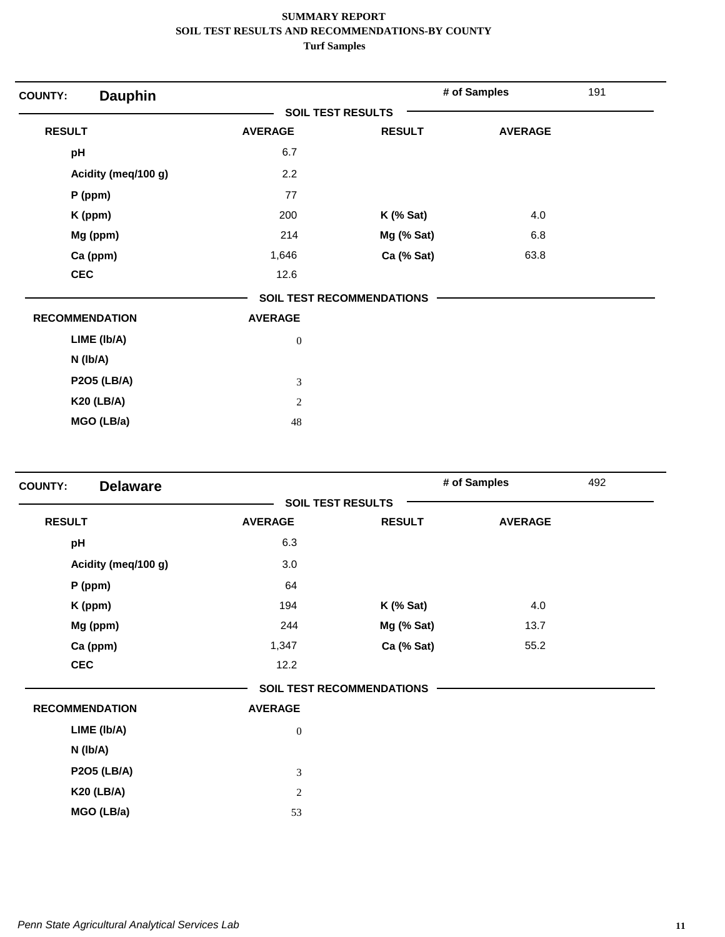| <b>Dauphin</b><br><b>COUNTY:</b> |                          |                                  | # of Samples   | 191 |
|----------------------------------|--------------------------|----------------------------------|----------------|-----|
|                                  | <b>SOIL TEST RESULTS</b> |                                  |                |     |
| <b>RESULT</b>                    | <b>AVERAGE</b>           | <b>RESULT</b>                    | <b>AVERAGE</b> |     |
| pH                               | 6.7                      |                                  |                |     |
| Acidity (meq/100 g)              | 2.2                      |                                  |                |     |
| $P$ (ppm)                        | 77                       |                                  |                |     |
| K (ppm)                          | 200                      | $K$ (% Sat)                      | 4.0            |     |
| Mg (ppm)                         | 214                      | Mg (% Sat)                       | 6.8            |     |
| Ca (ppm)                         | 1,646                    | Ca (% Sat)                       | 63.8           |     |
| <b>CEC</b>                       | 12.6                     |                                  |                |     |
|                                  |                          | <b>SOIL TEST RECOMMENDATIONS</b> |                |     |
| <b>RECOMMENDATION</b>            | <b>AVERAGE</b>           |                                  |                |     |
| LIME (Ib/A)                      | $\boldsymbol{0}$         |                                  |                |     |
| $N$ ( $lb/A$ )                   |                          |                                  |                |     |
| <b>P2O5 (LB/A)</b>               | 3                        |                                  |                |     |
| <b>K20 (LB/A)</b>                | $\overline{2}$           |                                  |                |     |
| MGO (LB/a)                       | 48                       |                                  |                |     |

| <b>Delaware</b><br><b>COUNTY:</b> |                |                                  | # of Samples   | 492 |
|-----------------------------------|----------------|----------------------------------|----------------|-----|
|                                   |                | <b>SOIL TEST RESULTS</b>         |                |     |
| <b>RESULT</b>                     | <b>AVERAGE</b> | <b>RESULT</b>                    | <b>AVERAGE</b> |     |
| pH                                | 6.3            |                                  |                |     |
| Acidity (meq/100 g)               | 3.0            |                                  |                |     |
| P (ppm)                           | 64             |                                  |                |     |
| K (ppm)                           | 194            | $K$ (% Sat)                      | 4.0            |     |
| Mg (ppm)                          | 244            | Mg (% Sat)                       | 13.7           |     |
| Ca (ppm)                          | 1,347          | Ca (% Sat)                       | 55.2           |     |
| <b>CEC</b>                        | 12.2           |                                  |                |     |
|                                   |                | <b>SOIL TEST RECOMMENDATIONS</b> |                |     |
| <b>RECOMMENDATION</b>             | <b>AVERAGE</b> |                                  |                |     |
| LIME (Ib/A)                       | $\mathbf{0}$   |                                  |                |     |
| N (Ib/A)                          |                |                                  |                |     |
| <b>P2O5 (LB/A)</b>                | $\mathfrak{Z}$ |                                  |                |     |
| <b>K20 (LB/A)</b>                 | $\sqrt{2}$     |                                  |                |     |
| MGO (LB/a)                        | 53             |                                  |                |     |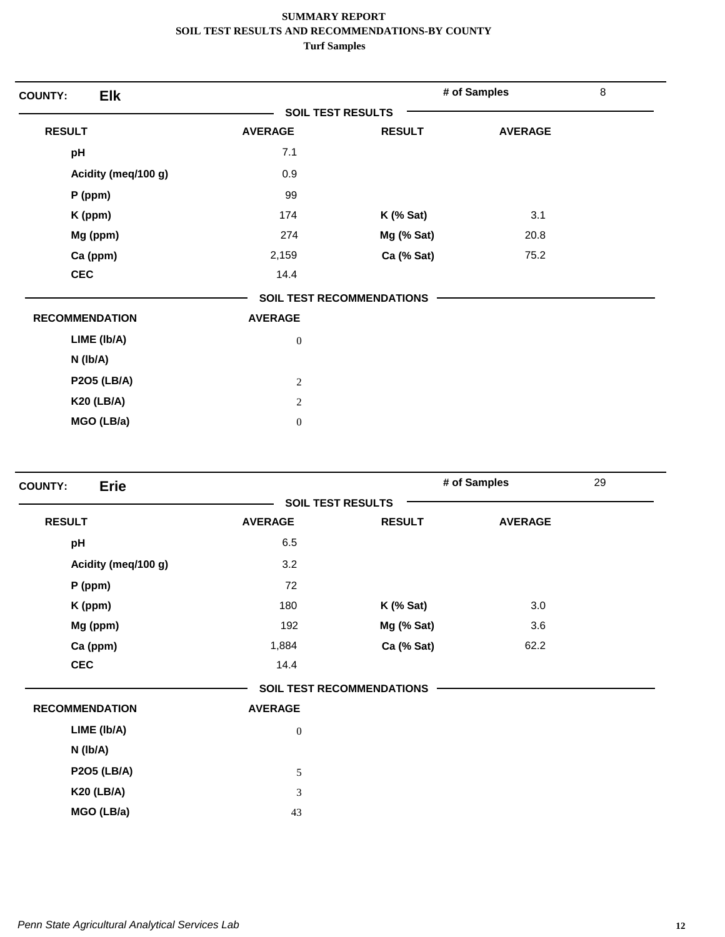| <b>Elk</b><br><b>COUNTY:</b> |                          |                                  | # of Samples   | $\,8\,$ |
|------------------------------|--------------------------|----------------------------------|----------------|---------|
|                              | <b>SOIL TEST RESULTS</b> |                                  |                |         |
| <b>RESULT</b>                | <b>AVERAGE</b>           | <b>RESULT</b>                    | <b>AVERAGE</b> |         |
| pH                           | 7.1                      |                                  |                |         |
| Acidity (meq/100 g)          | 0.9                      |                                  |                |         |
| $P$ (ppm)                    | 99                       |                                  |                |         |
| K (ppm)                      | 174                      | $K$ (% Sat)                      | 3.1            |         |
| Mg (ppm)                     | 274                      | Mg (% Sat)                       | 20.8           |         |
| Ca (ppm)                     | 2,159                    | Ca (% Sat)                       | 75.2           |         |
| <b>CEC</b>                   | 14.4                     |                                  |                |         |
|                              |                          | <b>SOIL TEST RECOMMENDATIONS</b> |                |         |
| <b>RECOMMENDATION</b>        | <b>AVERAGE</b>           |                                  |                |         |
| LIME (Ib/A)                  | $\boldsymbol{0}$         |                                  |                |         |
| $N$ ( $lb/A$ )               |                          |                                  |                |         |
| <b>P2O5 (LB/A)</b>           | $\mathbf{2}$             |                                  |                |         |
| <b>K20 (LB/A)</b>            | 2                        |                                  |                |         |
| MGO (LB/a)                   | $\boldsymbol{0}$         |                                  |                |         |

| <b>Erie</b><br><b>COUNTY:</b> |                  |                                  | # of Samples   | 29 |
|-------------------------------|------------------|----------------------------------|----------------|----|
|                               |                  | <b>SOIL TEST RESULTS</b>         |                |    |
| <b>RESULT</b>                 | <b>AVERAGE</b>   | <b>RESULT</b>                    | <b>AVERAGE</b> |    |
| pH                            | 6.5              |                                  |                |    |
| Acidity (meq/100 g)           | 3.2              |                                  |                |    |
| P (ppm)                       | 72               |                                  |                |    |
| K (ppm)                       | 180              | $K$ (% Sat)                      | 3.0            |    |
| Mg (ppm)                      | 192              | Mg (% Sat)                       | 3.6            |    |
| Ca (ppm)                      | 1,884            | Ca (% Sat)                       | 62.2           |    |
| <b>CEC</b>                    | 14.4             |                                  |                |    |
|                               |                  | <b>SOIL TEST RECOMMENDATIONS</b> |                |    |
| <b>RECOMMENDATION</b>         | <b>AVERAGE</b>   |                                  |                |    |
| LIME (Ib/A)                   | $\boldsymbol{0}$ |                                  |                |    |
| N (Ib/A)                      |                  |                                  |                |    |
| <b>P2O5 (LB/A)</b>            | 5                |                                  |                |    |
| <b>K20 (LB/A)</b>             | 3                |                                  |                |    |
| MGO (LB/a)                    | 43               |                                  |                |    |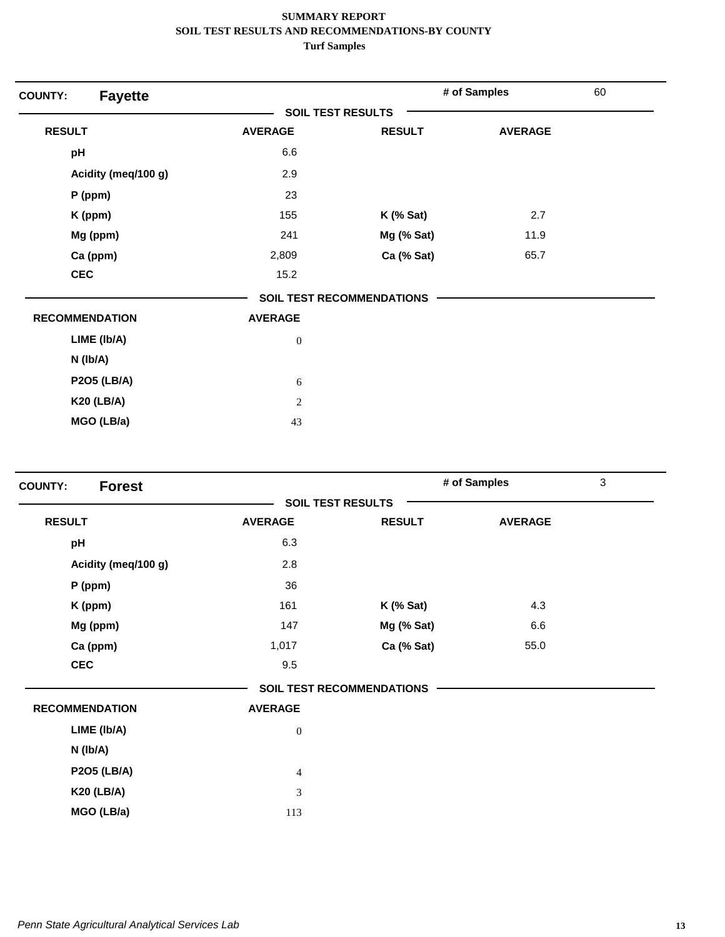| <b>Fayette</b><br><b>COUNTY:</b> |                          |                           | # of Samples   | 60 |
|----------------------------------|--------------------------|---------------------------|----------------|----|
|                                  | <b>SOIL TEST RESULTS</b> |                           |                |    |
| <b>RESULT</b>                    | <b>AVERAGE</b>           | <b>RESULT</b>             | <b>AVERAGE</b> |    |
| pH                               | 6.6                      |                           |                |    |
| Acidity (meq/100 g)              | 2.9                      |                           |                |    |
| P (ppm)                          | 23                       |                           |                |    |
| K (ppm)                          | 155                      | $K$ (% Sat)               | 2.7            |    |
| Mg (ppm)                         | 241                      | Mg (% Sat)                | 11.9           |    |
| Ca (ppm)                         | 2,809                    | Ca (% Sat)                | 65.7           |    |
| <b>CEC</b>                       | 15.2                     |                           |                |    |
|                                  |                          | SOIL TEST RECOMMENDATIONS |                |    |
| <b>RECOMMENDATION</b>            | <b>AVERAGE</b>           |                           |                |    |
| LIME (Ib/A)                      | $\boldsymbol{0}$         |                           |                |    |
| $N$ ( $lb/A$ )                   |                          |                           |                |    |
| <b>P2O5 (LB/A)</b>               | 6                        |                           |                |    |
| <b>K20 (LB/A)</b>                | $\overline{2}$           |                           |                |    |
| MGO (LB/a)                       | 43                       |                           |                |    |

| <b>Forest</b><br><b>COUNTY:</b> |                |                                  | # of Samples   | $\mathbf{3}$ |
|---------------------------------|----------------|----------------------------------|----------------|--------------|
|                                 |                | <b>SOIL TEST RESULTS</b>         |                |              |
| <b>RESULT</b>                   | <b>AVERAGE</b> | <b>RESULT</b>                    | <b>AVERAGE</b> |              |
| pH                              | 6.3            |                                  |                |              |
| Acidity (meq/100 g)             | 2.8            |                                  |                |              |
| P (ppm)                         | 36             |                                  |                |              |
| K (ppm)                         | 161            | $K$ (% Sat)                      | 4.3            |              |
| Mg (ppm)                        | 147            | Mg (% Sat)                       | 6.6            |              |
| Ca (ppm)                        | 1,017          | Ca (% Sat)                       | 55.0           |              |
| <b>CEC</b>                      | 9.5            |                                  |                |              |
|                                 |                | <b>SOIL TEST RECOMMENDATIONS</b> |                |              |
| <b>RECOMMENDATION</b>           | <b>AVERAGE</b> |                                  |                |              |
| LIME (Ib/A)                     | $\mathbf{0}$   |                                  |                |              |
| N (Ib/A)                        |                |                                  |                |              |
| <b>P2O5 (LB/A)</b>              | $\overline{4}$ |                                  |                |              |
| <b>K20 (LB/A)</b>               | $\mathfrak{Z}$ |                                  |                |              |
| MGO (LB/a)                      | 113            |                                  |                |              |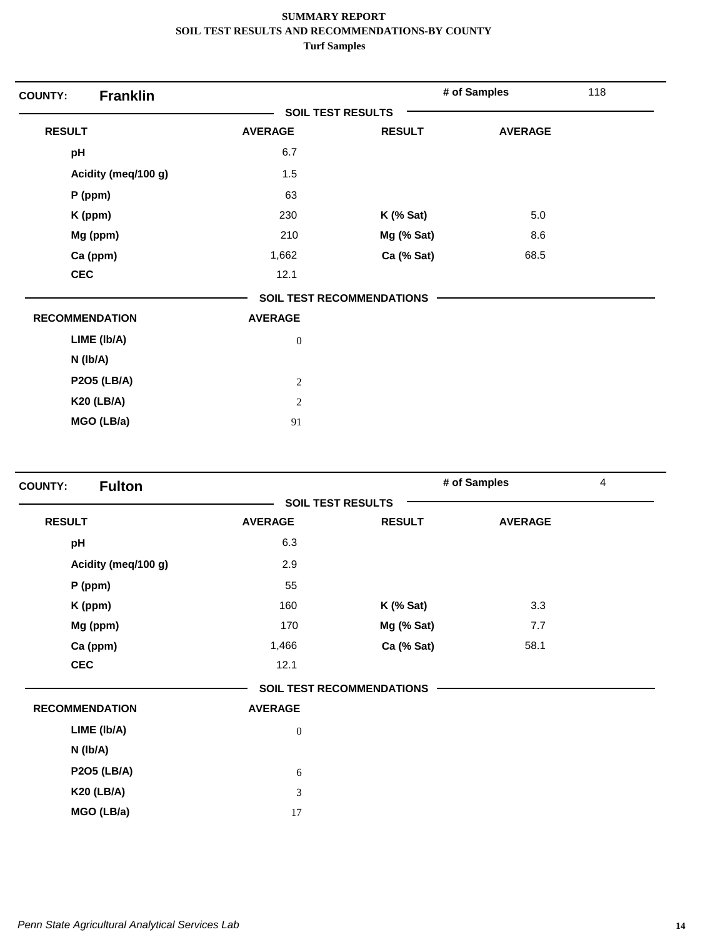| <b>Franklin</b><br><b>COUNTY:</b> |                          |                                  | # of Samples   | 118 |
|-----------------------------------|--------------------------|----------------------------------|----------------|-----|
|                                   | <b>SOIL TEST RESULTS</b> |                                  |                |     |
| <b>RESULT</b>                     | <b>AVERAGE</b>           | <b>RESULT</b>                    | <b>AVERAGE</b> |     |
| pH                                | 6.7                      |                                  |                |     |
| Acidity (meq/100 g)               | 1.5                      |                                  |                |     |
| P (ppm)                           | 63                       |                                  |                |     |
| K (ppm)                           | 230                      | $K$ (% Sat)                      | 5.0            |     |
| Mg (ppm)                          | 210                      | Mg (% Sat)                       | 8.6            |     |
| Ca (ppm)                          | 1,662                    | Ca (% Sat)                       | 68.5           |     |
| <b>CEC</b>                        | 12.1                     |                                  |                |     |
|                                   |                          | <b>SOIL TEST RECOMMENDATIONS</b> |                |     |
| <b>RECOMMENDATION</b>             | <b>AVERAGE</b>           |                                  |                |     |
| LIME (Ib/A)                       | $\boldsymbol{0}$         |                                  |                |     |
| N (Ib/A)                          |                          |                                  |                |     |
| <b>P2O5 (LB/A)</b>                | $\sqrt{2}$               |                                  |                |     |
| <b>K20 (LB/A)</b>                 | $\overline{2}$           |                                  |                |     |
| MGO (LB/a)                        | 91                       |                                  |                |     |

| <b>Fulton</b><br><b>COUNTY:</b> |                  |                                  | # of Samples   | 4 |
|---------------------------------|------------------|----------------------------------|----------------|---|
|                                 |                  | <b>SOIL TEST RESULTS</b>         |                |   |
| <b>RESULT</b>                   | <b>AVERAGE</b>   | <b>RESULT</b>                    | <b>AVERAGE</b> |   |
| pH                              | 6.3              |                                  |                |   |
| Acidity (meq/100 g)             | 2.9              |                                  |                |   |
| P (ppm)                         | 55               |                                  |                |   |
| K (ppm)                         | 160              | $K$ (% Sat)                      | 3.3            |   |
| Mg (ppm)                        | 170              | Mg (% Sat)                       | 7.7            |   |
| Ca (ppm)                        | 1,466            | Ca (% Sat)                       | 58.1           |   |
| <b>CEC</b>                      | 12.1             |                                  |                |   |
|                                 |                  | <b>SOIL TEST RECOMMENDATIONS</b> |                |   |
| <b>RECOMMENDATION</b>           | <b>AVERAGE</b>   |                                  |                |   |
| LIME (Ib/A)                     | $\boldsymbol{0}$ |                                  |                |   |
| N (Ib/A)                        |                  |                                  |                |   |
| <b>P2O5 (LB/A)</b>              | 6                |                                  |                |   |
| <b>K20 (LB/A)</b>               | $\mathfrak{Z}$   |                                  |                |   |
| MGO (LB/a)                      | 17               |                                  |                |   |
|                                 |                  |                                  |                |   |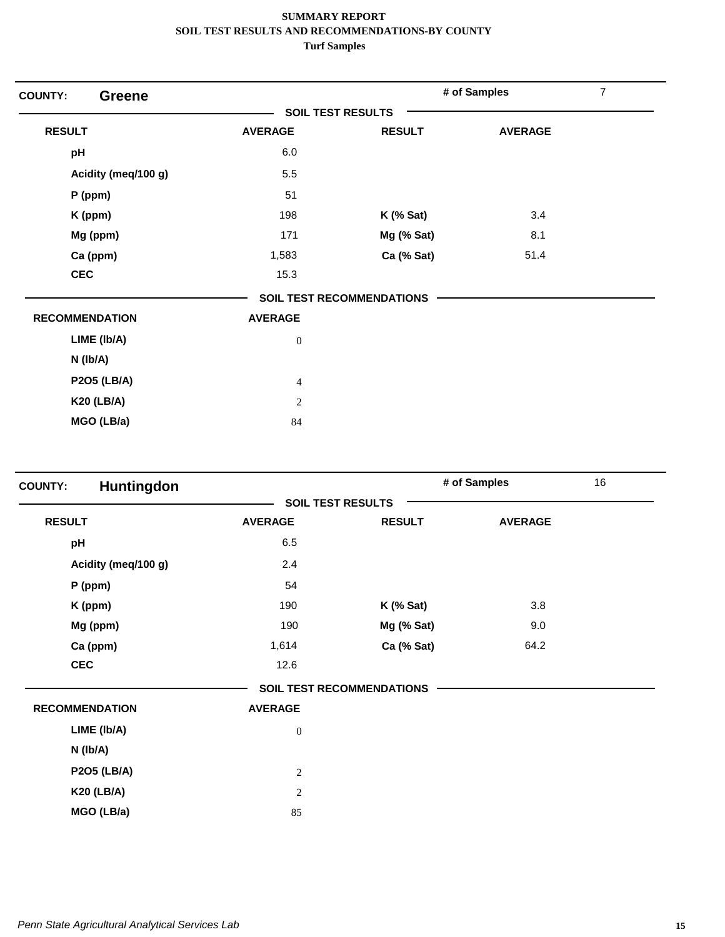| <b>COUNTY:</b><br><b>Greene</b> |                          |                                  | # of Samples   | 7 |
|---------------------------------|--------------------------|----------------------------------|----------------|---|
|                                 | <b>SOIL TEST RESULTS</b> |                                  |                |   |
| <b>RESULT</b>                   | <b>AVERAGE</b>           | <b>RESULT</b>                    | <b>AVERAGE</b> |   |
| pH                              | 6.0                      |                                  |                |   |
| Acidity (meq/100 g)             | 5.5                      |                                  |                |   |
| $P$ (ppm)                       | 51                       |                                  |                |   |
| K (ppm)                         | 198                      | $K$ (% Sat)                      | 3.4            |   |
| Mg (ppm)                        | 171                      | Mg (% Sat)                       | 8.1            |   |
| Ca (ppm)                        | 1,583                    | Ca (% Sat)                       | 51.4           |   |
| <b>CEC</b>                      | 15.3                     |                                  |                |   |
|                                 |                          | <b>SOIL TEST RECOMMENDATIONS</b> |                |   |
| <b>RECOMMENDATION</b>           | <b>AVERAGE</b>           |                                  |                |   |
| LIME (Ib/A)                     | $\boldsymbol{0}$         |                                  |                |   |
| $N$ ( $lb/A$ )                  |                          |                                  |                |   |
| <b>P2O5 (LB/A)</b>              | $\overline{4}$           |                                  |                |   |
| <b>K20 (LB/A)</b>               | 2                        |                                  |                |   |
| MGO (LB/a)                      | 84                       |                                  |                |   |

| Huntingdon<br><b>COUNTY:</b> |                |                                  | # of Samples   | 16 |
|------------------------------|----------------|----------------------------------|----------------|----|
|                              |                | <b>SOIL TEST RESULTS</b>         |                |    |
| <b>RESULT</b>                | <b>AVERAGE</b> | <b>RESULT</b>                    | <b>AVERAGE</b> |    |
| pH                           | 6.5            |                                  |                |    |
| Acidity (meq/100 g)          | 2.4            |                                  |                |    |
| P (ppm)                      | 54             |                                  |                |    |
| K (ppm)                      | 190            | $K$ (% Sat)                      | 3.8            |    |
| Mg (ppm)                     | 190            | Mg (% Sat)                       | 9.0            |    |
| Ca (ppm)                     | 1,614          | Ca (% Sat)                       | 64.2           |    |
| <b>CEC</b>                   | 12.6           |                                  |                |    |
|                              |                | <b>SOIL TEST RECOMMENDATIONS</b> |                |    |
| <b>RECOMMENDATION</b>        | <b>AVERAGE</b> |                                  |                |    |
| LIME (Ib/A)                  | $\mathbf{0}$   |                                  |                |    |
| N (Ib/A)                     |                |                                  |                |    |
| <b>P2O5 (LB/A)</b>           | $\overline{c}$ |                                  |                |    |
| <b>K20 (LB/A)</b>            | $\overline{c}$ |                                  |                |    |
| MGO (LB/a)                   | 85             |                                  |                |    |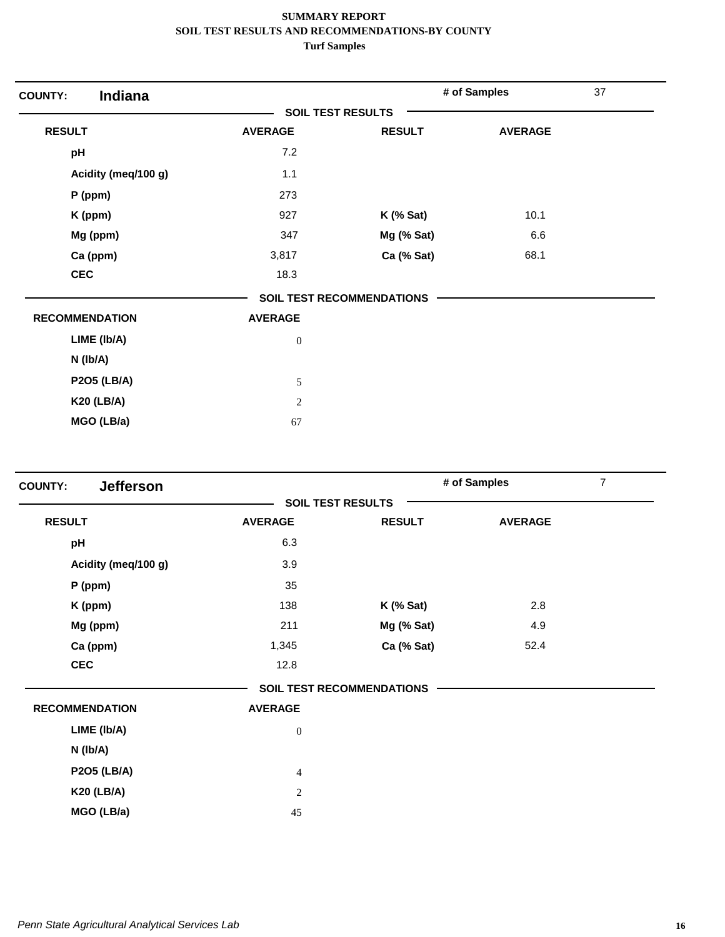| Indiana<br><b>COUNTY:</b> |                          |                                  | # of Samples   | 37 |
|---------------------------|--------------------------|----------------------------------|----------------|----|
|                           | <b>SOIL TEST RESULTS</b> |                                  |                |    |
| <b>RESULT</b>             | <b>AVERAGE</b>           | <b>RESULT</b>                    | <b>AVERAGE</b> |    |
| pH                        | 7.2                      |                                  |                |    |
| Acidity (meq/100 g)       | $1.1$                    |                                  |                |    |
| $P$ (ppm)                 | 273                      |                                  |                |    |
| K (ppm)                   | 927                      | $K$ (% Sat)                      | 10.1           |    |
| Mg (ppm)                  | 347                      | Mg (% Sat)                       | 6.6            |    |
| Ca (ppm)                  | 3,817                    | Ca (% Sat)                       | 68.1           |    |
| <b>CEC</b>                | 18.3                     |                                  |                |    |
|                           |                          | <b>SOIL TEST RECOMMENDATIONS</b> |                |    |
| <b>RECOMMENDATION</b>     | <b>AVERAGE</b>           |                                  |                |    |
| LIME (Ib/A)               | $\boldsymbol{0}$         |                                  |                |    |
| $N$ ( $lb/A$ )            |                          |                                  |                |    |
| <b>P2O5 (LB/A)</b>        | 5                        |                                  |                |    |
| <b>K20 (LB/A)</b>         | $\mathbf{2}$             |                                  |                |    |
| MGO (LB/a)                | 67                       |                                  |                |    |

| <b>Jefferson</b><br><b>COUNTY:</b> |                          |                                  | # of Samples   | $\overline{7}$ |
|------------------------------------|--------------------------|----------------------------------|----------------|----------------|
|                                    | <b>SOIL TEST RESULTS</b> |                                  |                |                |
| <b>RESULT</b>                      | <b>AVERAGE</b>           | <b>RESULT</b>                    | <b>AVERAGE</b> |                |
| pH                                 | 6.3                      |                                  |                |                |
| Acidity (meq/100 g)                | 3.9                      |                                  |                |                |
| $P$ (ppm)                          | 35                       |                                  |                |                |
| K (ppm)                            | 138                      | $K$ (% Sat)                      | 2.8            |                |
| Mg (ppm)                           | 211                      | Mg (% Sat)                       | 4.9            |                |
| Ca (ppm)                           | 1,345                    | Ca (% Sat)                       | 52.4           |                |
| <b>CEC</b>                         | 12.8                     |                                  |                |                |
|                                    |                          | <b>SOIL TEST RECOMMENDATIONS</b> |                |                |
| <b>RECOMMENDATION</b>              | <b>AVERAGE</b>           |                                  |                |                |
| LIME (Ib/A)                        | $\mathbf{0}$             |                                  |                |                |
| N (Ib/A)                           |                          |                                  |                |                |
| <b>P2O5 (LB/A)</b>                 | $\overline{4}$           |                                  |                |                |
| <b>K20 (LB/A)</b>                  | $\overline{c}$           |                                  |                |                |
| MGO (LB/a)                         | 45                       |                                  |                |                |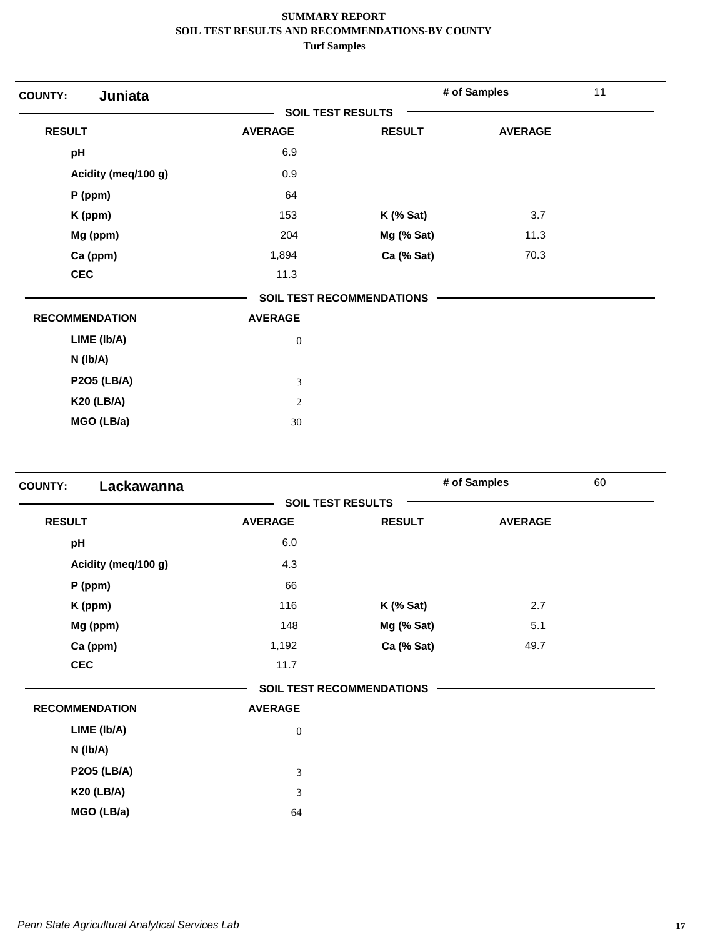| Juniata<br><b>COUNTY:</b> |                          |                                  | # of Samples   | 11 |
|---------------------------|--------------------------|----------------------------------|----------------|----|
|                           | <b>SOIL TEST RESULTS</b> |                                  |                |    |
| <b>RESULT</b>             | <b>AVERAGE</b>           | <b>RESULT</b>                    | <b>AVERAGE</b> |    |
| pH                        | 6.9                      |                                  |                |    |
| Acidity (meq/100 g)       | 0.9                      |                                  |                |    |
| $P$ (ppm)                 | 64                       |                                  |                |    |
| K (ppm)                   | 153                      | $K$ (% Sat)                      | 3.7            |    |
| Mg (ppm)                  | 204                      | Mg (% Sat)                       | 11.3           |    |
| Ca (ppm)                  | 1,894                    | Ca (% Sat)                       | 70.3           |    |
| <b>CEC</b>                | 11.3                     |                                  |                |    |
|                           |                          | <b>SOIL TEST RECOMMENDATIONS</b> |                |    |
| <b>RECOMMENDATION</b>     | <b>AVERAGE</b>           |                                  |                |    |
| LIME (Ib/A)               | $\boldsymbol{0}$         |                                  |                |    |
| N (Ib/A)                  |                          |                                  |                |    |
| <b>P2O5 (LB/A)</b>        | 3                        |                                  |                |    |
| <b>K20 (LB/A)</b>         | $\sqrt{2}$               |                                  |                |    |
| MGO (LB/a)                | 30                       |                                  |                |    |

| Lackawanna<br><b>COUNTY:</b> |                             |                                  | # of Samples   | 60 |
|------------------------------|-----------------------------|----------------------------------|----------------|----|
|                              |                             | <b>SOIL TEST RESULTS</b>         |                |    |
| <b>RESULT</b>                | <b>AVERAGE</b>              | <b>RESULT</b>                    | <b>AVERAGE</b> |    |
| pH                           | 6.0                         |                                  |                |    |
| Acidity (meq/100 g)          | 4.3                         |                                  |                |    |
| P (ppm)                      | 66                          |                                  |                |    |
| K (ppm)                      | 116                         | $K$ (% Sat)                      | 2.7            |    |
| Mg (ppm)                     | 148                         | Mg (% Sat)                       | 5.1            |    |
| Ca (ppm)                     | 1,192                       | Ca (% Sat)                       | 49.7           |    |
| <b>CEC</b>                   | 11.7                        |                                  |                |    |
|                              |                             | <b>SOIL TEST RECOMMENDATIONS</b> |                |    |
| <b>RECOMMENDATION</b>        | <b>AVERAGE</b>              |                                  |                |    |
| LIME (Ib/A)                  | $\boldsymbol{0}$            |                                  |                |    |
| N (Ib/A)                     |                             |                                  |                |    |
| <b>P2O5 (LB/A)</b>           | $\ensuremath{\mathfrak{Z}}$ |                                  |                |    |
| <b>K20 (LB/A)</b>            | $\mathfrak{Z}$              |                                  |                |    |
| MGO (LB/a)                   | 64                          |                                  |                |    |
|                              |                             |                                  |                |    |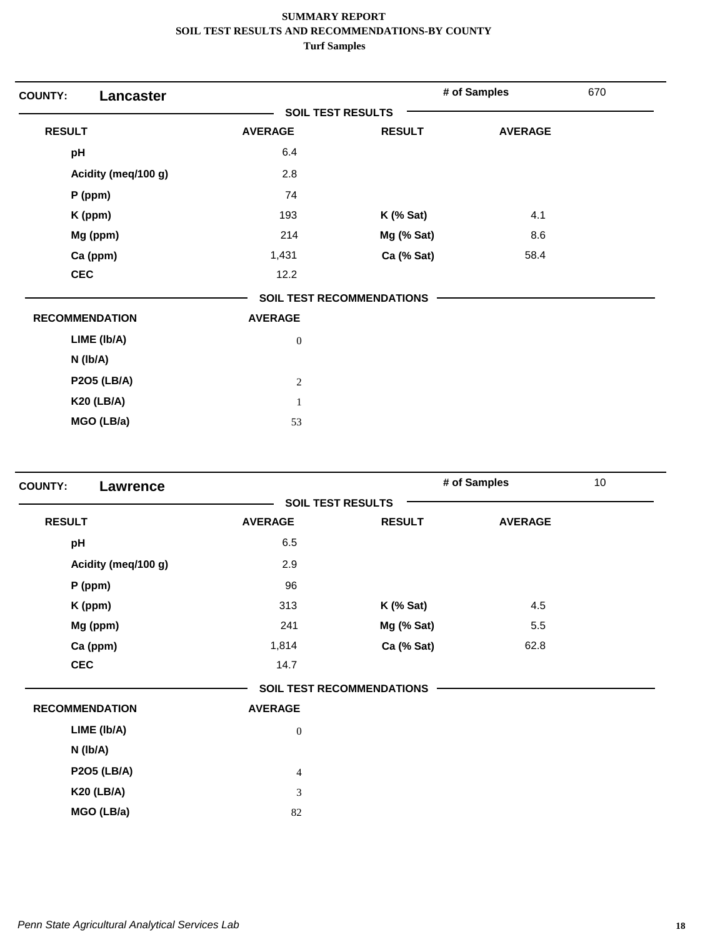| <b>Lancaster</b><br><b>COUNTY:</b> |                          |                                  | # of Samples   | 670 |
|------------------------------------|--------------------------|----------------------------------|----------------|-----|
|                                    | <b>SOIL TEST RESULTS</b> |                                  |                |     |
| <b>RESULT</b>                      | <b>AVERAGE</b>           | <b>RESULT</b>                    | <b>AVERAGE</b> |     |
| pH                                 | 6.4                      |                                  |                |     |
| Acidity (meq/100 g)                | 2.8                      |                                  |                |     |
| $P$ (ppm)                          | 74                       |                                  |                |     |
| K (ppm)                            | 193                      | $K$ (% Sat)                      | 4.1            |     |
| Mg (ppm)                           | 214                      | Mg (% Sat)                       | 8.6            |     |
| Ca (ppm)                           | 1,431                    | Ca (% Sat)                       | 58.4           |     |
| <b>CEC</b>                         | 12.2                     |                                  |                |     |
|                                    |                          | <b>SOIL TEST RECOMMENDATIONS</b> |                |     |
| <b>RECOMMENDATION</b>              | <b>AVERAGE</b>           |                                  |                |     |
| LIME (Ib/A)                        | $\boldsymbol{0}$         |                                  |                |     |
| $N$ (lb/A)                         |                          |                                  |                |     |
| <b>P2O5 (LB/A)</b>                 | $\sqrt{2}$               |                                  |                |     |
| <b>K20 (LB/A)</b>                  | $\mathbf{1}$             |                                  |                |     |
| MGO (LB/a)                         | 53                       |                                  |                |     |

| <b>COUNTY:</b><br><b>Lawrence</b> |                  |                                  | # of Samples   | 10 |
|-----------------------------------|------------------|----------------------------------|----------------|----|
|                                   |                  | <b>SOIL TEST RESULTS</b>         |                |    |
| <b>RESULT</b>                     | <b>AVERAGE</b>   | <b>RESULT</b>                    | <b>AVERAGE</b> |    |
| pH                                | 6.5              |                                  |                |    |
| Acidity (meq/100 g)               | 2.9              |                                  |                |    |
| $P$ (ppm)                         | 96               |                                  |                |    |
| K (ppm)                           | 313              | $K$ (% Sat)                      | 4.5            |    |
| Mg (ppm)                          | 241              | Mg (% Sat)                       | 5.5            |    |
| Ca (ppm)                          | 1,814            | Ca (% Sat)                       | 62.8           |    |
| <b>CEC</b>                        | 14.7             |                                  |                |    |
|                                   |                  | <b>SOIL TEST RECOMMENDATIONS</b> |                |    |
| <b>RECOMMENDATION</b>             | <b>AVERAGE</b>   |                                  |                |    |
| LIME (Ib/A)                       | $\boldsymbol{0}$ |                                  |                |    |
| N (Ib/A)                          |                  |                                  |                |    |
| <b>P2O5 (LB/A)</b>                | $\overline{4}$   |                                  |                |    |
| <b>K20 (LB/A)</b>                 | 3                |                                  |                |    |
| MGO (LB/a)                        | 82               |                                  |                |    |
|                                   |                  |                                  |                |    |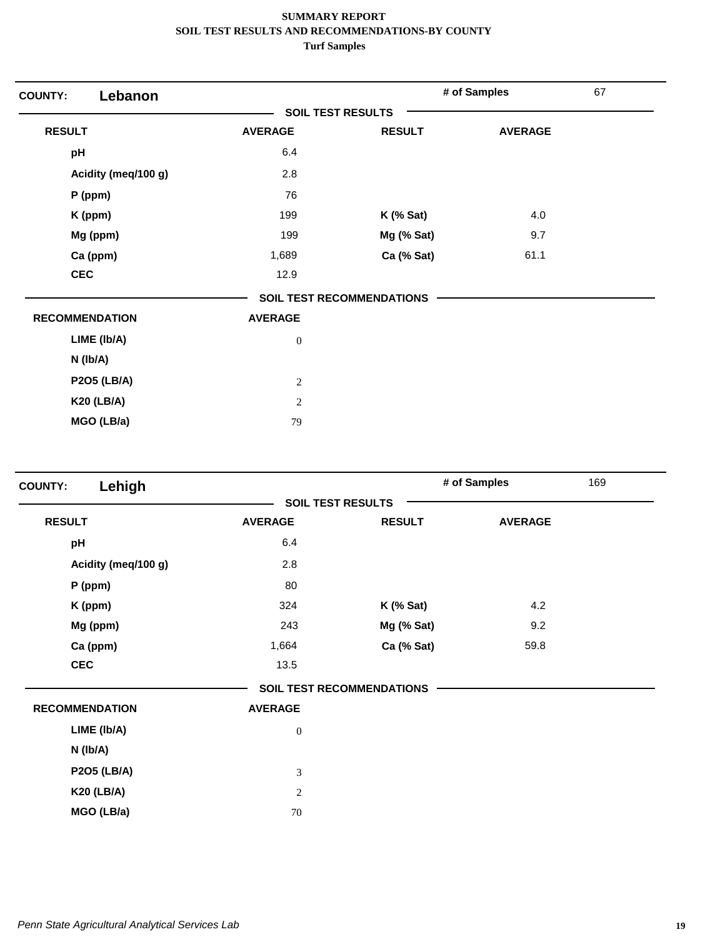| Lebanon<br><b>COUNTY:</b> |                          |                                  | # of Samples   | 67 |
|---------------------------|--------------------------|----------------------------------|----------------|----|
|                           | <b>SOIL TEST RESULTS</b> |                                  |                |    |
| <b>RESULT</b>             | <b>AVERAGE</b>           | <b>RESULT</b>                    | <b>AVERAGE</b> |    |
| pH                        | 6.4                      |                                  |                |    |
| Acidity (meq/100 g)       | 2.8                      |                                  |                |    |
| $P$ (ppm)                 | 76                       |                                  |                |    |
| K (ppm)                   | 199                      | $K$ (% Sat)                      | 4.0            |    |
| Mg (ppm)                  | 199                      | Mg (% Sat)                       | 9.7            |    |
| Ca (ppm)                  | 1,689                    | Ca (% Sat)                       | 61.1           |    |
| <b>CEC</b>                | 12.9                     |                                  |                |    |
|                           |                          | <b>SOIL TEST RECOMMENDATIONS</b> |                |    |
| <b>RECOMMENDATION</b>     | <b>AVERAGE</b>           |                                  |                |    |
| LIME (Ib/A)               | $\boldsymbol{0}$         |                                  |                |    |
| $N$ ( $lb/A$ )            |                          |                                  |                |    |
| <b>P2O5 (LB/A)</b>        | $\overline{c}$           |                                  |                |    |
| <b>K20 (LB/A)</b>         | $\overline{2}$           |                                  |                |    |
| MGO (LB/a)                | 79                       |                                  |                |    |

| Lehigh<br><b>COUNTY:</b> |                  |                                  | # of Samples   | 169 |
|--------------------------|------------------|----------------------------------|----------------|-----|
|                          |                  | <b>SOIL TEST RESULTS</b>         |                |     |
| <b>RESULT</b>            | <b>AVERAGE</b>   | <b>RESULT</b>                    | <b>AVERAGE</b> |     |
| pH                       | 6.4              |                                  |                |     |
| Acidity (meq/100 g)      | 2.8              |                                  |                |     |
| P (ppm)                  | 80               |                                  |                |     |
| K (ppm)                  | 324              | $K$ (% Sat)                      | 4.2            |     |
| Mg (ppm)                 | 243              | Mg (% Sat)                       | 9.2            |     |
| Ca (ppm)                 | 1,664            | Ca (% Sat)                       | 59.8           |     |
| <b>CEC</b>               | 13.5             |                                  |                |     |
|                          |                  | <b>SOIL TEST RECOMMENDATIONS</b> |                |     |
| <b>RECOMMENDATION</b>    | <b>AVERAGE</b>   |                                  |                |     |
| LIME (Ib/A)              | $\boldsymbol{0}$ |                                  |                |     |
| N (Ib/A)                 |                  |                                  |                |     |
| <b>P2O5 (LB/A)</b>       | $\mathfrak 3$    |                                  |                |     |
| <b>K20 (LB/A)</b>        | $\overline{c}$   |                                  |                |     |
| MGO (LB/a)               | 70               |                                  |                |     |
|                          |                  |                                  |                |     |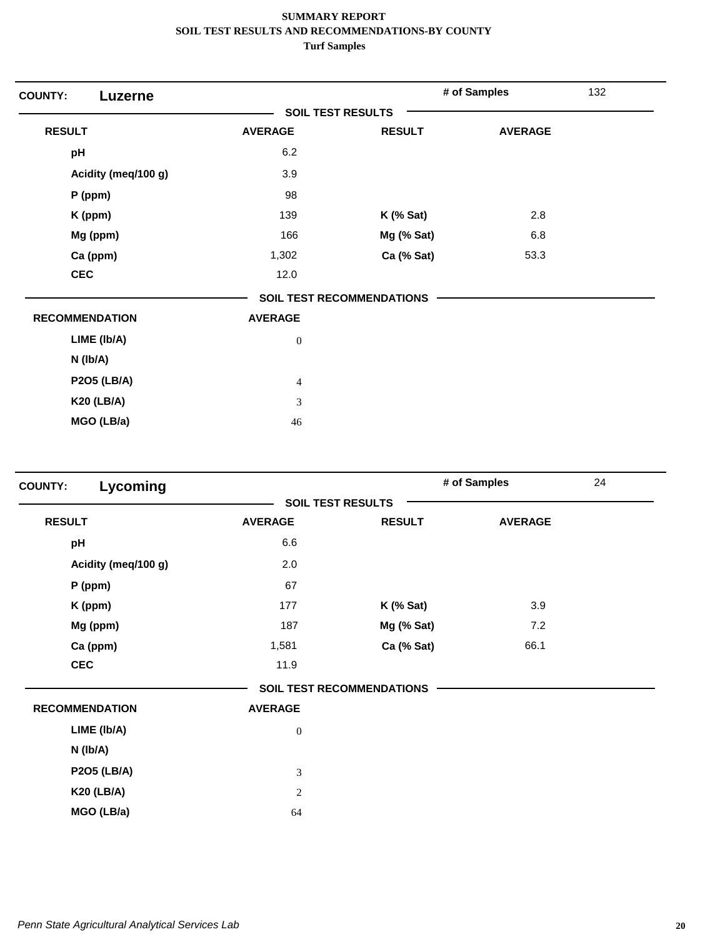| <b>COUNTY:</b><br>Luzerne |                          |                                  | # of Samples   | 132 |
|---------------------------|--------------------------|----------------------------------|----------------|-----|
|                           | <b>SOIL TEST RESULTS</b> |                                  |                |     |
| <b>RESULT</b>             | <b>AVERAGE</b>           | <b>RESULT</b>                    | <b>AVERAGE</b> |     |
| pH                        | 6.2                      |                                  |                |     |
| Acidity (meq/100 g)       | 3.9                      |                                  |                |     |
| $P$ (ppm)                 | 98                       |                                  |                |     |
| K (ppm)                   | 139                      | $K$ (% Sat)                      | 2.8            |     |
| Mg (ppm)                  | 166                      | Mg (% Sat)                       | 6.8            |     |
| Ca (ppm)                  | 1,302                    | Ca (% Sat)                       | 53.3           |     |
| <b>CEC</b>                | 12.0                     |                                  |                |     |
|                           |                          | <b>SOIL TEST RECOMMENDATIONS</b> |                |     |
| <b>RECOMMENDATION</b>     | <b>AVERAGE</b>           |                                  |                |     |
| LIME (Ib/A)               | $\boldsymbol{0}$         |                                  |                |     |
| N (Ib/A)                  |                          |                                  |                |     |
| <b>P2O5 (LB/A)</b>        | $\overline{4}$           |                                  |                |     |
| <b>K20 (LB/A)</b>         | 3                        |                                  |                |     |
| MGO (LB/a)                | 46                       |                                  |                |     |

| Lycoming<br><b>COUNTY:</b> |                             |                                  | # of Samples   | 24 |
|----------------------------|-----------------------------|----------------------------------|----------------|----|
|                            |                             | <b>SOIL TEST RESULTS</b>         |                |    |
| <b>RESULT</b>              | <b>AVERAGE</b>              | <b>RESULT</b>                    | <b>AVERAGE</b> |    |
| pH                         | 6.6                         |                                  |                |    |
| Acidity (meq/100 g)        | 2.0                         |                                  |                |    |
| $P$ (ppm)                  | 67                          |                                  |                |    |
| K (ppm)                    | 177                         | $K$ (% Sat)                      | 3.9            |    |
| Mg (ppm)                   | 187                         | Mg (% Sat)                       | 7.2            |    |
| Ca (ppm)                   | 1,581                       | Ca (% Sat)                       | 66.1           |    |
| <b>CEC</b>                 | 11.9                        |                                  |                |    |
|                            |                             | <b>SOIL TEST RECOMMENDATIONS</b> |                |    |
| <b>RECOMMENDATION</b>      | <b>AVERAGE</b>              |                                  |                |    |
| LIME (Ib/A)                | $\boldsymbol{0}$            |                                  |                |    |
| $N$ ( $lb/A$ )             |                             |                                  |                |    |
| <b>P2O5 (LB/A)</b>         | $\ensuremath{\mathfrak{Z}}$ |                                  |                |    |
| <b>K20 (LB/A)</b>          | $\overline{c}$              |                                  |                |    |
| MGO (LB/a)                 | 64                          |                                  |                |    |
|                            |                             |                                  |                |    |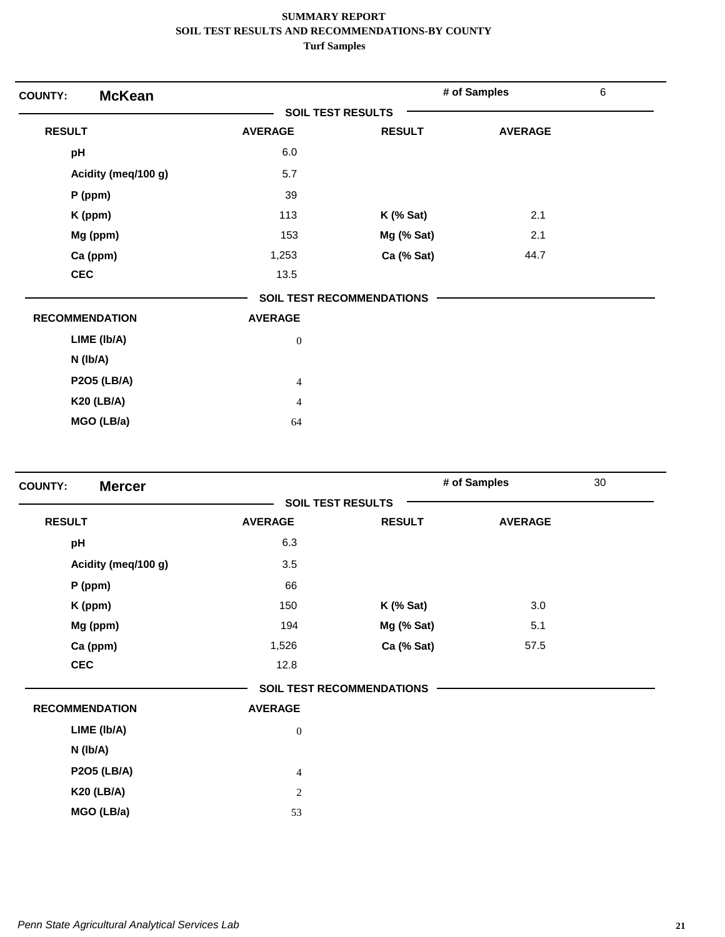| <b>McKean</b><br><b>COUNTY:</b> |                          |                                  | # of Samples   | $\,6\,$ |
|---------------------------------|--------------------------|----------------------------------|----------------|---------|
|                                 | <b>SOIL TEST RESULTS</b> |                                  |                |         |
| <b>RESULT</b>                   | <b>AVERAGE</b>           | <b>RESULT</b>                    | <b>AVERAGE</b> |         |
| pH                              | 6.0                      |                                  |                |         |
| Acidity (meq/100 g)             | 5.7                      |                                  |                |         |
| $P$ (ppm)                       | 39                       |                                  |                |         |
| K (ppm)                         | 113                      | $K$ (% Sat)                      | 2.1            |         |
| Mg (ppm)                        | 153                      | Mg (% Sat)                       | 2.1            |         |
| Ca (ppm)                        | 1,253                    | Ca (% Sat)                       | 44.7           |         |
| <b>CEC</b>                      | 13.5                     |                                  |                |         |
|                                 |                          | <b>SOIL TEST RECOMMENDATIONS</b> |                |         |
| <b>RECOMMENDATION</b>           | <b>AVERAGE</b>           |                                  |                |         |
| LIME (Ib/A)                     | $\boldsymbol{0}$         |                                  |                |         |
| $N$ (lb/A)                      |                          |                                  |                |         |
| <b>P2O5 (LB/A)</b>              | $\overline{4}$           |                                  |                |         |
| <b>K20 (LB/A)</b>               | $\overline{4}$           |                                  |                |         |
| MGO (LB/a)                      | 64                       |                                  |                |         |

| <b>Mercer</b><br><b>COUNTY:</b> |                |                                  | # of Samples   | 30 |
|---------------------------------|----------------|----------------------------------|----------------|----|
|                                 |                | <b>SOIL TEST RESULTS</b>         |                |    |
| <b>RESULT</b>                   | <b>AVERAGE</b> | <b>RESULT</b>                    | <b>AVERAGE</b> |    |
| pH                              | 6.3            |                                  |                |    |
| Acidity (meq/100 g)             | 3.5            |                                  |                |    |
| P (ppm)                         | 66             |                                  |                |    |
| K (ppm)                         | 150            | $K$ (% Sat)                      | 3.0            |    |
| Mg (ppm)                        | 194            | Mg (% Sat)                       | 5.1            |    |
| Ca (ppm)                        | 1,526          | Ca (% Sat)                       | 57.5           |    |
| <b>CEC</b>                      | 12.8           |                                  |                |    |
|                                 |                | <b>SOIL TEST RECOMMENDATIONS</b> |                |    |
| <b>RECOMMENDATION</b>           | <b>AVERAGE</b> |                                  |                |    |
| LIME (Ib/A)                     | $\mathbf{0}$   |                                  |                |    |
| N (Ib/A)                        |                |                                  |                |    |
| <b>P2O5 (LB/A)</b>              | $\overline{4}$ |                                  |                |    |
| <b>K20 (LB/A)</b>               | $\overline{c}$ |                                  |                |    |
| MGO (LB/a)                      | 53             |                                  |                |    |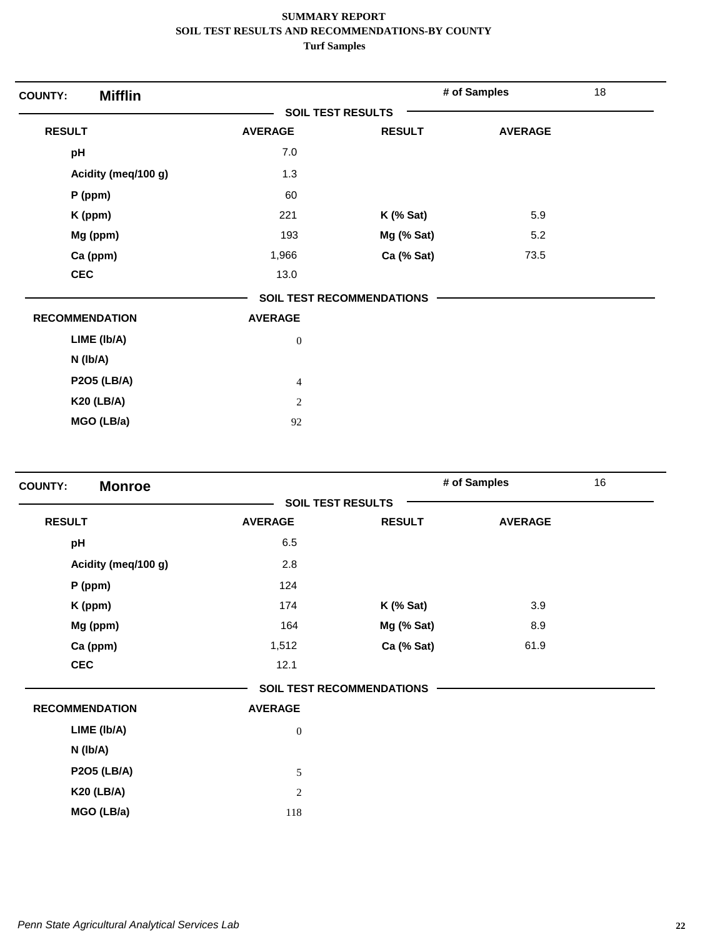| <b>Mifflin</b><br><b>COUNTY:</b> |                          |                                  | # of Samples   | 18 |
|----------------------------------|--------------------------|----------------------------------|----------------|----|
|                                  | <b>SOIL TEST RESULTS</b> |                                  |                |    |
| <b>RESULT</b>                    | <b>AVERAGE</b>           | <b>RESULT</b>                    | <b>AVERAGE</b> |    |
| pH                               | $7.0\,$                  |                                  |                |    |
| Acidity (meq/100 g)              | 1.3                      |                                  |                |    |
| $P$ (ppm)                        | 60                       |                                  |                |    |
| K (ppm)                          | 221                      | $K$ (% Sat)                      | 5.9            |    |
| Mg (ppm)                         | 193                      | Mg (% Sat)                       | 5.2            |    |
| Ca (ppm)                         | 1,966                    | Ca (% Sat)                       | 73.5           |    |
| <b>CEC</b>                       | 13.0                     |                                  |                |    |
|                                  |                          | <b>SOIL TEST RECOMMENDATIONS</b> |                |    |
| <b>RECOMMENDATION</b>            | <b>AVERAGE</b>           |                                  |                |    |
| LIME (Ib/A)                      | $\boldsymbol{0}$         |                                  |                |    |
| N (Ib/A)                         |                          |                                  |                |    |
| <b>P2O5 (LB/A)</b>               | $\overline{4}$           |                                  |                |    |
| <b>K20 (LB/A)</b>                | $\sqrt{2}$               |                                  |                |    |
| MGO (LB/a)                       | 92                       |                                  |                |    |

| <b>Monroe</b><br><b>COUNTY:</b> |                |                                  | # of Samples   | 16 |
|---------------------------------|----------------|----------------------------------|----------------|----|
|                                 |                | <b>SOIL TEST RESULTS</b>         |                |    |
| <b>RESULT</b>                   | <b>AVERAGE</b> | <b>RESULT</b>                    | <b>AVERAGE</b> |    |
| pH                              | 6.5            |                                  |                |    |
| Acidity (meq/100 g)             | 2.8            |                                  |                |    |
| P (ppm)                         | 124            |                                  |                |    |
| K (ppm)                         | 174            | $K$ (% Sat)                      | 3.9            |    |
| Mg (ppm)                        | 164            | Mg (% Sat)                       | 8.9            |    |
| Ca (ppm)                        | 1,512          | Ca (% Sat)                       | 61.9           |    |
| <b>CEC</b>                      | 12.1           |                                  |                |    |
|                                 |                | <b>SOIL TEST RECOMMENDATIONS</b> |                |    |
| <b>RECOMMENDATION</b>           | <b>AVERAGE</b> |                                  |                |    |
| LIME (Ib/A)                     | $\mathbf{0}$   |                                  |                |    |
| N (Ib/A)                        |                |                                  |                |    |
| <b>P2O5 (LB/A)</b>              | 5              |                                  |                |    |
| <b>K20 (LB/A)</b>               | $\sqrt{2}$     |                                  |                |    |
| MGO (LB/a)                      | 118            |                                  |                |    |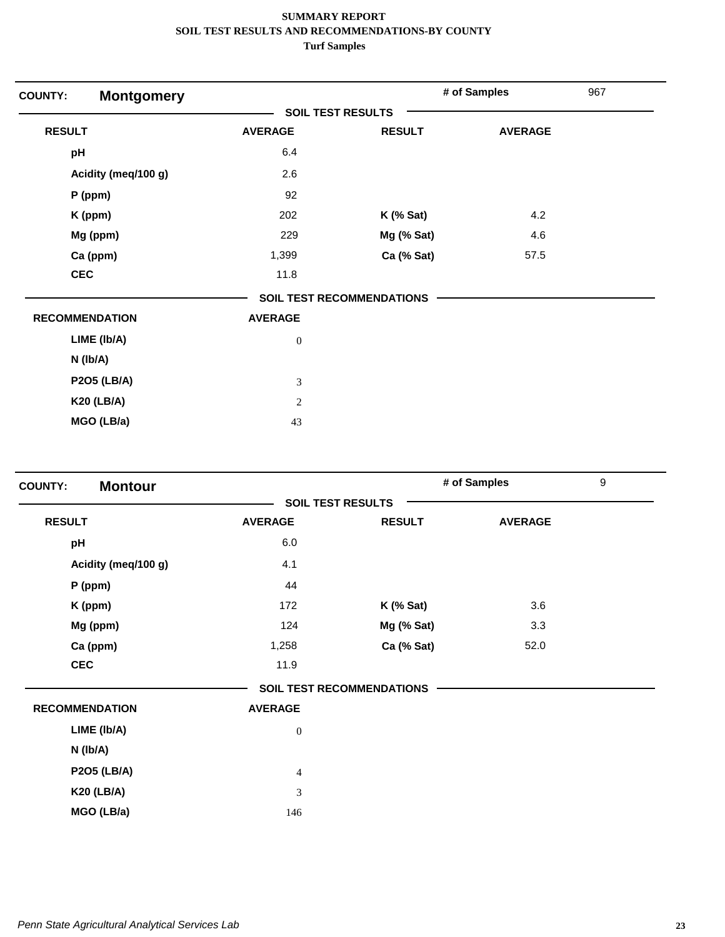| <b>Montgomery</b><br><b>COUNTY:</b> |                          |                                  | # of Samples   | 967 |
|-------------------------------------|--------------------------|----------------------------------|----------------|-----|
|                                     | <b>SOIL TEST RESULTS</b> |                                  |                |     |
| <b>RESULT</b>                       | <b>AVERAGE</b>           | <b>RESULT</b>                    | <b>AVERAGE</b> |     |
| pH                                  | 6.4                      |                                  |                |     |
| Acidity (meq/100 g)                 | 2.6                      |                                  |                |     |
| P (ppm)                             | 92                       |                                  |                |     |
| K (ppm)                             | 202                      | $K$ (% Sat)                      | 4.2            |     |
| Mg (ppm)                            | 229                      | Mg (% Sat)                       | 4.6            |     |
| Ca (ppm)                            | 1,399                    | Ca (% Sat)                       | 57.5           |     |
| <b>CEC</b>                          | 11.8                     |                                  |                |     |
|                                     |                          | <b>SOIL TEST RECOMMENDATIONS</b> |                |     |
| <b>RECOMMENDATION</b>               | <b>AVERAGE</b>           |                                  |                |     |
| LIME (Ib/A)                         | $\boldsymbol{0}$         |                                  |                |     |
| $N$ ( $lb/A$ )                      |                          |                                  |                |     |
| <b>P2O5 (LB/A)</b>                  | 3                        |                                  |                |     |
| <b>K20 (LB/A)</b>                   | $\overline{2}$           |                                  |                |     |
| MGO (LB/a)                          | 43                       |                                  |                |     |

| <b>Montour</b><br><b>COUNTY:</b> |                |                                  | # of Samples   | $\boldsymbol{9}$ |
|----------------------------------|----------------|----------------------------------|----------------|------------------|
|                                  |                | <b>SOIL TEST RESULTS</b>         |                |                  |
| <b>RESULT</b>                    | <b>AVERAGE</b> | <b>RESULT</b>                    | <b>AVERAGE</b> |                  |
| pH                               | 6.0            |                                  |                |                  |
| Acidity (meq/100 g)              | 4.1            |                                  |                |                  |
| P (ppm)                          | 44             |                                  |                |                  |
| K (ppm)                          | 172            | $K$ (% Sat)                      | 3.6            |                  |
| Mg (ppm)                         | 124            | Mg (% Sat)                       | 3.3            |                  |
| Ca (ppm)                         | 1,258          | Ca (% Sat)                       | 52.0           |                  |
| <b>CEC</b>                       | 11.9           |                                  |                |                  |
|                                  |                | <b>SOIL TEST RECOMMENDATIONS</b> |                |                  |
| <b>RECOMMENDATION</b>            | <b>AVERAGE</b> |                                  |                |                  |
| LIME (Ib/A)                      | $\mathbf{0}$   |                                  |                |                  |
| N (Ib/A)                         |                |                                  |                |                  |
| <b>P2O5 (LB/A)</b>               | $\overline{4}$ |                                  |                |                  |
| <b>K20 (LB/A)</b>                | $\mathfrak{Z}$ |                                  |                |                  |
| MGO (LB/a)                       | 146            |                                  |                |                  |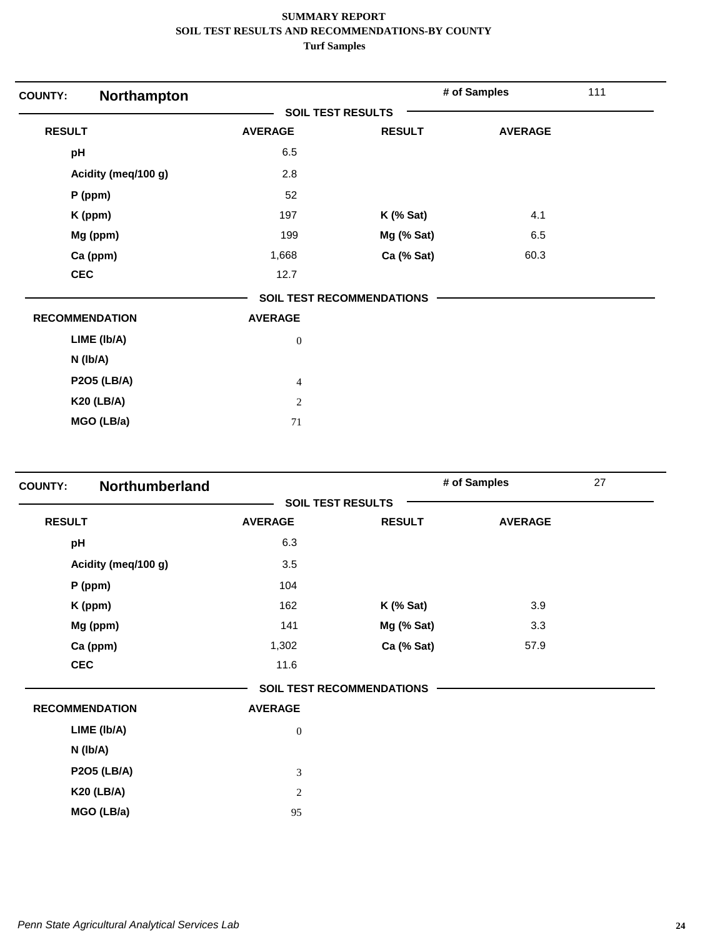| Northampton<br><b>COUNTY:</b> |                          |                                  | # of Samples   | 111 |
|-------------------------------|--------------------------|----------------------------------|----------------|-----|
|                               | <b>SOIL TEST RESULTS</b> |                                  |                |     |
| <b>RESULT</b>                 | <b>AVERAGE</b>           | <b>RESULT</b>                    | <b>AVERAGE</b> |     |
| pH                            | 6.5                      |                                  |                |     |
| Acidity (meq/100 g)           | 2.8                      |                                  |                |     |
| $P$ (ppm)                     | 52                       |                                  |                |     |
| K (ppm)                       | 197                      | $K$ (% Sat)                      | 4.1            |     |
| Mg (ppm)                      | 199                      | Mg (% Sat)                       | 6.5            |     |
| Ca (ppm)                      | 1,668                    | Ca (% Sat)                       | 60.3           |     |
| <b>CEC</b>                    | 12.7                     |                                  |                |     |
|                               |                          | <b>SOIL TEST RECOMMENDATIONS</b> |                |     |
| <b>RECOMMENDATION</b>         | <b>AVERAGE</b>           |                                  |                |     |
| LIME (Ib/A)                   | $\boldsymbol{0}$         |                                  |                |     |
| $N$ ( $lb/A$ )                |                          |                                  |                |     |
| <b>P2O5 (LB/A)</b>            | $\overline{4}$           |                                  |                |     |
| <b>K20 (LB/A)</b>             | 2                        |                                  |                |     |
| MGO (LB/a)                    | 71                       |                                  |                |     |

| <b>COUNTY:</b> | Northumberland        |                          |                                  | # of Samples   | 27 |
|----------------|-----------------------|--------------------------|----------------------------------|----------------|----|
|                |                       | <b>SOIL TEST RESULTS</b> |                                  |                |    |
| <b>RESULT</b>  |                       | <b>AVERAGE</b>           | <b>RESULT</b>                    | <b>AVERAGE</b> |    |
| pH             |                       | 6.3                      |                                  |                |    |
|                | Acidity (meq/100 g)   | 3.5                      |                                  |                |    |
|                | P (ppm)               | 104                      |                                  |                |    |
|                | K (ppm)               | 162                      | $K$ (% Sat)                      | 3.9            |    |
|                | Mg (ppm)              | 141                      | Mg (% Sat)                       | 3.3            |    |
|                | Ca (ppm)              | 1,302                    | Ca (% Sat)                       | 57.9           |    |
|                | <b>CEC</b>            | 11.6                     |                                  |                |    |
|                |                       |                          | <b>SOIL TEST RECOMMENDATIONS</b> |                |    |
|                | <b>RECOMMENDATION</b> | <b>AVERAGE</b>           |                                  |                |    |
|                | LIME (Ib/A)           | $\boldsymbol{0}$         |                                  |                |    |
|                | $N$ ( $lb/A$ )        |                          |                                  |                |    |
|                | <b>P2O5 (LB/A)</b>    | 3                        |                                  |                |    |
|                | <b>K20 (LB/A)</b>     | $\overline{c}$           |                                  |                |    |
|                | MGO (LB/a)            | 95                       |                                  |                |    |
|                |                       |                          |                                  |                |    |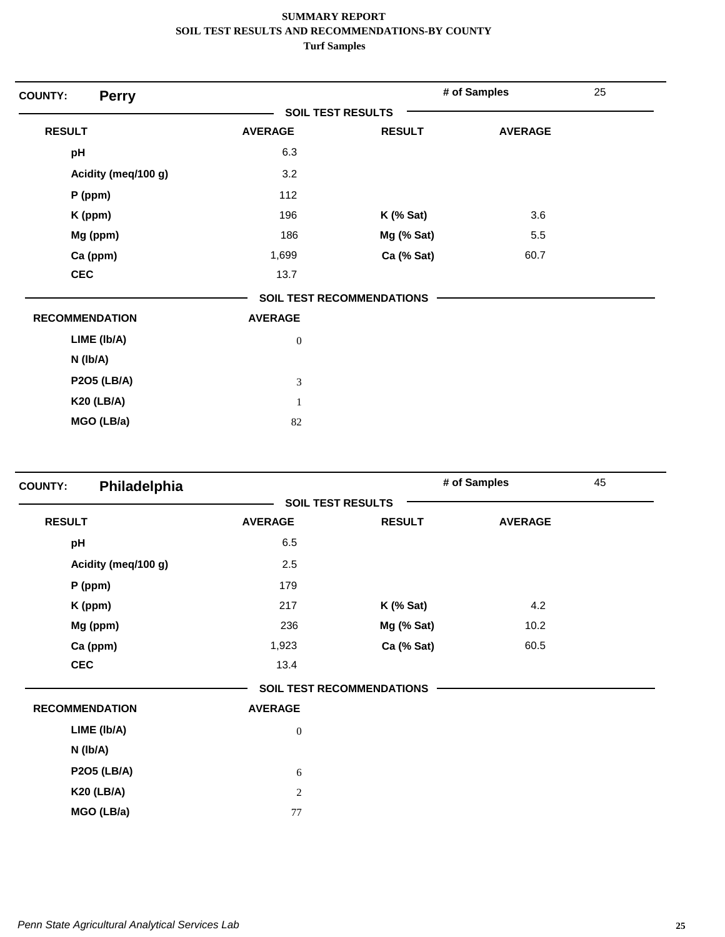| <b>COUNTY:</b><br><b>Perry</b> |                          |                                  | # of Samples   | 25 |
|--------------------------------|--------------------------|----------------------------------|----------------|----|
|                                | <b>SOIL TEST RESULTS</b> |                                  |                |    |
| <b>RESULT</b>                  | <b>AVERAGE</b>           | <b>RESULT</b>                    | <b>AVERAGE</b> |    |
| pH                             | 6.3                      |                                  |                |    |
| Acidity (meq/100 g)            | 3.2                      |                                  |                |    |
| $P$ (ppm)                      | 112                      |                                  |                |    |
| K (ppm)                        | 196                      | $K$ (% Sat)                      | 3.6            |    |
| Mg (ppm)                       | 186                      | Mg (% Sat)                       | 5.5            |    |
| Ca (ppm)                       | 1,699                    | Ca (% Sat)                       | 60.7           |    |
| <b>CEC</b>                     | 13.7                     |                                  |                |    |
|                                |                          | <b>SOIL TEST RECOMMENDATIONS</b> |                |    |
| <b>RECOMMENDATION</b>          | <b>AVERAGE</b>           |                                  |                |    |
| LIME (Ib/A)                    | $\boldsymbol{0}$         |                                  |                |    |
| $N$ ( $lb/A$ )                 |                          |                                  |                |    |
| <b>P2O5 (LB/A)</b>             | 3                        |                                  |                |    |
| <b>K20 (LB/A)</b>              | $\mathbf{1}$             |                                  |                |    |
| MGO (LB/a)                     | 82                       |                                  |                |    |

| <b>COUNTY:</b>        | Philadelphia        |                          |                                  | # of Samples   | 45 |
|-----------------------|---------------------|--------------------------|----------------------------------|----------------|----|
|                       |                     | <b>SOIL TEST RESULTS</b> |                                  |                |    |
| <b>RESULT</b>         |                     | <b>AVERAGE</b>           | <b>RESULT</b>                    | <b>AVERAGE</b> |    |
| pH                    |                     | 6.5                      |                                  |                |    |
|                       | Acidity (meq/100 g) | 2.5                      |                                  |                |    |
| $P$ (ppm)             |                     | 179                      |                                  |                |    |
| K (ppm)               |                     | 217                      | $K$ (% Sat)                      | 4.2            |    |
| Mg (ppm)              |                     | 236                      | Mg (% Sat)                       | 10.2           |    |
| Ca (ppm)              |                     | 1,923                    | Ca (% Sat)                       | 60.5           |    |
| <b>CEC</b>            |                     | 13.4                     |                                  |                |    |
|                       |                     |                          | <b>SOIL TEST RECOMMENDATIONS</b> |                |    |
| <b>RECOMMENDATION</b> |                     | <b>AVERAGE</b>           |                                  |                |    |
| LIME (Ib/A)           |                     | $\boldsymbol{0}$         |                                  |                |    |
| N (Ib/A)              |                     |                          |                                  |                |    |
| <b>P2O5 (LB/A)</b>    |                     | 6                        |                                  |                |    |
| <b>K20 (LB/A)</b>     |                     | 2                        |                                  |                |    |
| MGO (LB/a)            |                     | 77                       |                                  |                |    |
|                       |                     |                          |                                  |                |    |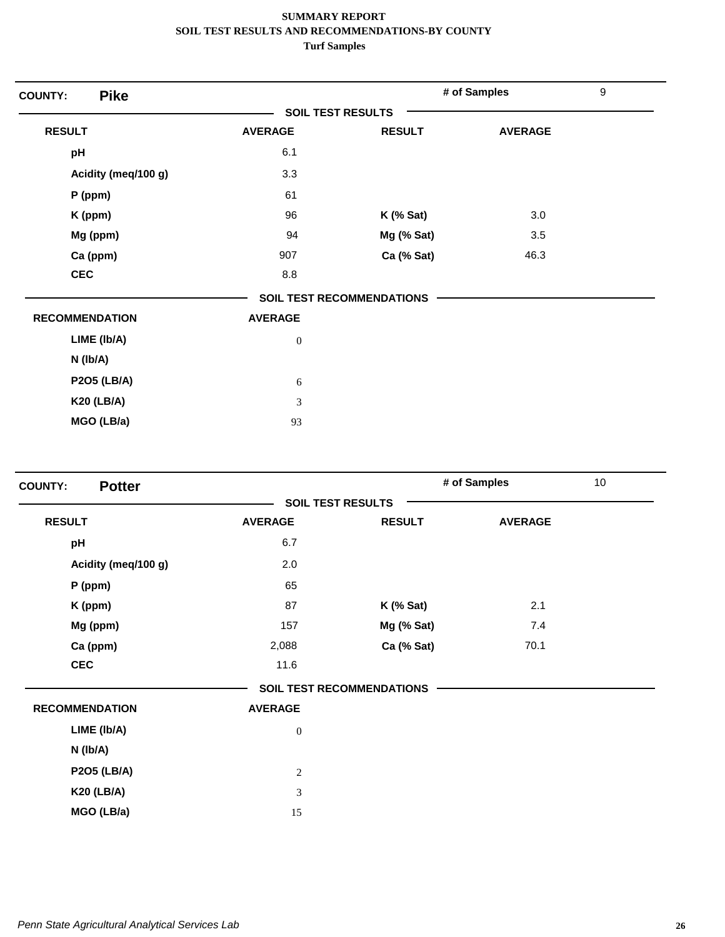| <b>Pike</b><br><b>COUNTY:</b> |                          |                                  | # of Samples   | $\boldsymbol{9}$ |
|-------------------------------|--------------------------|----------------------------------|----------------|------------------|
|                               | <b>SOIL TEST RESULTS</b> |                                  |                |                  |
| <b>RESULT</b>                 | <b>AVERAGE</b>           | <b>RESULT</b>                    | <b>AVERAGE</b> |                  |
| pH                            | 6.1                      |                                  |                |                  |
| Acidity (meq/100 g)           | 3.3                      |                                  |                |                  |
| $P$ (ppm)                     | 61                       |                                  |                |                  |
| K (ppm)                       | 96                       | $K$ (% Sat)                      | 3.0            |                  |
| Mg (ppm)                      | 94                       | Mg (% Sat)                       | 3.5            |                  |
| Ca (ppm)                      | 907                      | Ca (% Sat)                       | 46.3           |                  |
| <b>CEC</b>                    | 8.8                      |                                  |                |                  |
|                               |                          | <b>SOIL TEST RECOMMENDATIONS</b> |                |                  |
| <b>RECOMMENDATION</b>         | <b>AVERAGE</b>           |                                  |                |                  |
| LIME (Ib/A)                   | $\boldsymbol{0}$         |                                  |                |                  |
| N (Ib/A)                      |                          |                                  |                |                  |
| <b>P2O5 (LB/A)</b>            | 6                        |                                  |                |                  |
| <b>K20 (LB/A)</b>             | 3                        |                                  |                |                  |
| MGO (LB/a)                    | 93                       |                                  |                |                  |

| <b>Potter</b><br><b>COUNTY:</b> |                |                                  | # of Samples   | 10 <sup>1</sup> |
|---------------------------------|----------------|----------------------------------|----------------|-----------------|
|                                 |                | <b>SOIL TEST RESULTS</b>         |                |                 |
| <b>RESULT</b>                   | <b>AVERAGE</b> | <b>RESULT</b>                    | <b>AVERAGE</b> |                 |
| pH                              | 6.7            |                                  |                |                 |
| Acidity (meq/100 g)             | 2.0            |                                  |                |                 |
| P (ppm)                         | 65             |                                  |                |                 |
| K (ppm)                         | 87             | $K$ (% Sat)                      | 2.1            |                 |
| Mg (ppm)                        | 157            | Mg (% Sat)                       | 7.4            |                 |
| Ca (ppm)                        | 2,088          | Ca (% Sat)                       | 70.1           |                 |
| <b>CEC</b>                      | 11.6           |                                  |                |                 |
|                                 |                | <b>SOIL TEST RECOMMENDATIONS</b> |                |                 |
| <b>RECOMMENDATION</b>           | <b>AVERAGE</b> |                                  |                |                 |
| LIME (Ib/A)                     | $\mathbf{0}$   |                                  |                |                 |
| $N$ ( $lb/A$ )                  |                |                                  |                |                 |
| <b>P2O5 (LB/A)</b>              | $\sqrt{2}$     |                                  |                |                 |
| <b>K20 (LB/A)</b>               | $\mathfrak{Z}$ |                                  |                |                 |
| MGO (LB/a)                      | 15             |                                  |                |                 |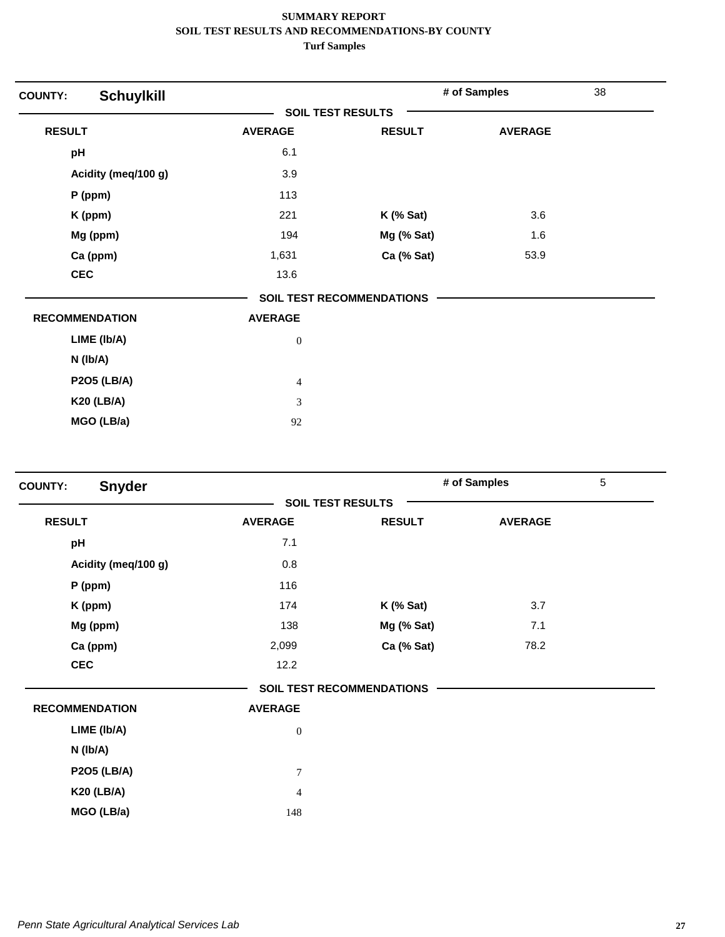| <b>Schuylkill</b><br><b>COUNTY:</b> |                          |                                  | # of Samples   | 38 |
|-------------------------------------|--------------------------|----------------------------------|----------------|----|
|                                     | <b>SOIL TEST RESULTS</b> |                                  |                |    |
| <b>RESULT</b>                       | <b>AVERAGE</b>           | <b>RESULT</b>                    | <b>AVERAGE</b> |    |
| pH                                  | 6.1                      |                                  |                |    |
| Acidity (meq/100 g)                 | 3.9                      |                                  |                |    |
| P (ppm)                             | 113                      |                                  |                |    |
| K (ppm)                             | 221                      | $K$ (% Sat)                      | 3.6            |    |
| Mg (ppm)                            | 194                      | Mg (% Sat)                       | 1.6            |    |
| Ca (ppm)                            | 1,631                    | Ca (% Sat)                       | 53.9           |    |
| <b>CEC</b>                          | 13.6                     |                                  |                |    |
|                                     |                          | <b>SOIL TEST RECOMMENDATIONS</b> |                |    |
| <b>RECOMMENDATION</b>               | <b>AVERAGE</b>           |                                  |                |    |
| LIME (Ib/A)                         | $\boldsymbol{0}$         |                                  |                |    |
| $N$ (lb/A)                          |                          |                                  |                |    |
| <b>P2O5 (LB/A)</b>                  | $\overline{4}$           |                                  |                |    |
| <b>K20 (LB/A)</b>                   | 3                        |                                  |                |    |
| MGO (LB/a)                          | 92                       |                                  |                |    |

| <b>Snyder</b><br><b>COUNTY:</b> |                  |                                  | # of Samples   | $\overline{5}$ |
|---------------------------------|------------------|----------------------------------|----------------|----------------|
|                                 |                  | <b>SOIL TEST RESULTS</b>         |                |                |
| <b>RESULT</b>                   | <b>AVERAGE</b>   | <b>RESULT</b>                    | <b>AVERAGE</b> |                |
| pH                              | 7.1              |                                  |                |                |
| Acidity (meq/100 g)             | 0.8              |                                  |                |                |
| P (ppm)                         | 116              |                                  |                |                |
| K (ppm)                         | 174              | $K$ (% Sat)                      | 3.7            |                |
| Mg (ppm)                        | 138              | Mg (% Sat)                       | 7.1            |                |
| Ca (ppm)                        | 2,099            | Ca (% Sat)                       | 78.2           |                |
| <b>CEC</b>                      | 12.2             |                                  |                |                |
|                                 |                  | <b>SOIL TEST RECOMMENDATIONS</b> |                |                |
| <b>RECOMMENDATION</b>           | <b>AVERAGE</b>   |                                  |                |                |
| LIME (Ib/A)                     | $\mathbf{0}$     |                                  |                |                |
| N (Ib/A)                        |                  |                                  |                |                |
| <b>P2O5 (LB/A)</b>              | $\boldsymbol{7}$ |                                  |                |                |
| <b>K20 (LB/A)</b>               | $\overline{4}$   |                                  |                |                |
| MGO (LB/a)                      | 148              |                                  |                |                |
|                                 |                  |                                  |                |                |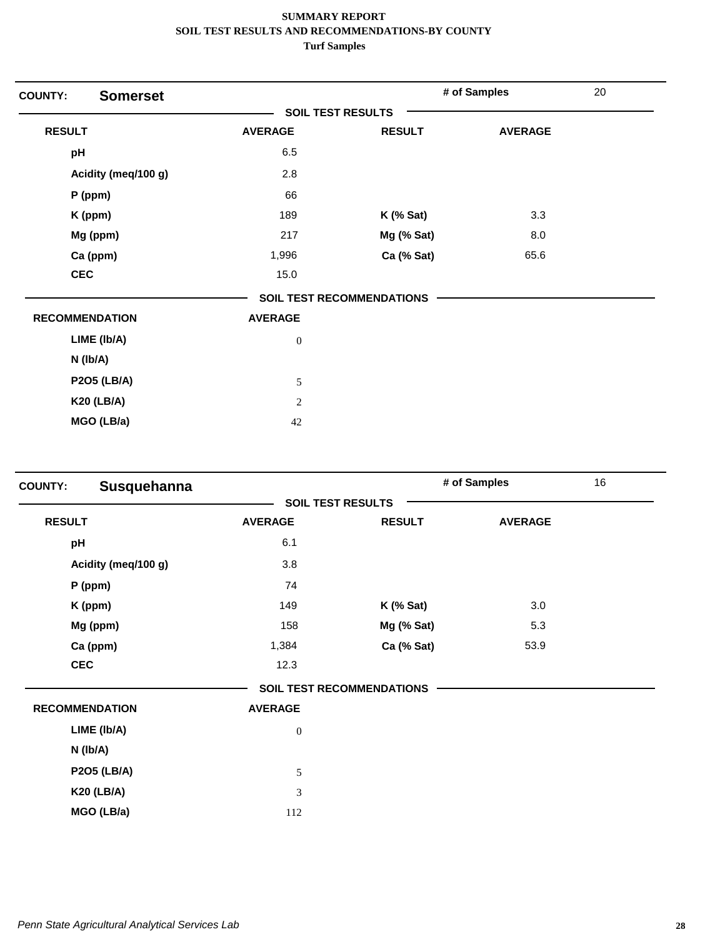| <b>COUNTY:</b>        | <b>Somerset</b> |                          |                                  | # of Samples   | 20 |
|-----------------------|-----------------|--------------------------|----------------------------------|----------------|----|
|                       |                 | <b>SOIL TEST RESULTS</b> |                                  |                |    |
| <b>RESULT</b>         |                 | <b>AVERAGE</b>           | <b>RESULT</b>                    | <b>AVERAGE</b> |    |
| pH                    |                 | 6.5                      |                                  |                |    |
| Acidity (meq/100 g)   |                 | 2.8                      |                                  |                |    |
| $P$ (ppm)             |                 | 66                       |                                  |                |    |
| K (ppm)               |                 | 189                      | $K$ (% Sat)                      | 3.3            |    |
| Mg (ppm)              |                 | 217                      | Mg (% Sat)                       | 8.0            |    |
| Ca (ppm)              |                 | 1,996                    | Ca (% Sat)                       | 65.6           |    |
| <b>CEC</b>            |                 | 15.0                     |                                  |                |    |
|                       |                 |                          | <b>SOIL TEST RECOMMENDATIONS</b> |                |    |
| <b>RECOMMENDATION</b> |                 | <b>AVERAGE</b>           |                                  |                |    |
| LIME (Ib/A)           |                 | $\boldsymbol{0}$         |                                  |                |    |
| $N$ ( $lb/A$ )        |                 |                          |                                  |                |    |
| <b>P2O5 (LB/A)</b>    |                 | $\sqrt{5}$               |                                  |                |    |
| <b>K20 (LB/A)</b>     |                 | $\overline{2}$           |                                  |                |    |
| MGO (LB/a)            |                 | 42                       |                                  |                |    |

| <b>COUNTY:</b> | Susquehanna           |                  |                                  | # of Samples   | 16 |
|----------------|-----------------------|------------------|----------------------------------|----------------|----|
|                |                       |                  | <b>SOIL TEST RESULTS</b>         |                |    |
| <b>RESULT</b>  |                       | <b>AVERAGE</b>   | <b>RESULT</b>                    | <b>AVERAGE</b> |    |
| pH             |                       | 6.1              |                                  |                |    |
|                | Acidity (meq/100 g)   | 3.8              |                                  |                |    |
|                | P (ppm)               | 74               |                                  |                |    |
|                | K (ppm)               | 149              | $K$ (% Sat)                      | 3.0            |    |
|                | Mg (ppm)              | 158              | Mg (% Sat)                       | 5.3            |    |
|                | Ca (ppm)              | 1,384            | Ca (% Sat)                       | 53.9           |    |
| <b>CEC</b>     |                       | 12.3             |                                  |                |    |
|                |                       |                  | <b>SOIL TEST RECOMMENDATIONS</b> |                |    |
|                | <b>RECOMMENDATION</b> | <b>AVERAGE</b>   |                                  |                |    |
|                | LIME (Ib/A)           | $\boldsymbol{0}$ |                                  |                |    |
|                | N (Ib/A)              |                  |                                  |                |    |
|                | <b>P2O5 (LB/A)</b>    | 5                |                                  |                |    |
|                | <b>K20 (LB/A)</b>     | 3                |                                  |                |    |
|                | MGO (LB/a)            | 112              |                                  |                |    |
|                |                       |                  |                                  |                |    |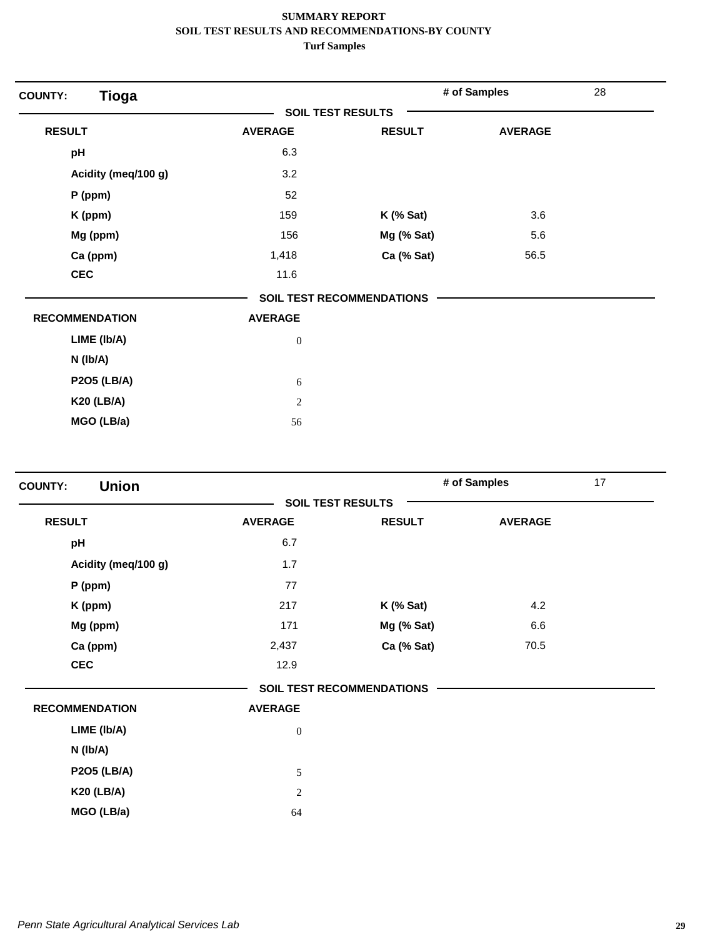| <b>Tioga</b><br><b>COUNTY:</b> |                          |                                  | # of Samples   | 28 |
|--------------------------------|--------------------------|----------------------------------|----------------|----|
|                                | <b>SOIL TEST RESULTS</b> |                                  |                |    |
| <b>RESULT</b>                  | <b>AVERAGE</b>           | <b>RESULT</b>                    | <b>AVERAGE</b> |    |
| pH                             | 6.3                      |                                  |                |    |
| Acidity (meq/100 g)            | 3.2                      |                                  |                |    |
| $P$ (ppm)                      | 52                       |                                  |                |    |
| K (ppm)                        | 159                      | $K$ (% Sat)                      | 3.6            |    |
| Mg (ppm)                       | 156                      | Mg (% Sat)                       | 5.6            |    |
| Ca (ppm)                       | 1,418                    | Ca (% Sat)                       | 56.5           |    |
| <b>CEC</b>                     | 11.6                     |                                  |                |    |
|                                |                          | <b>SOIL TEST RECOMMENDATIONS</b> |                |    |
| <b>RECOMMENDATION</b>          | <b>AVERAGE</b>           |                                  |                |    |
| LIME (Ib/A)                    | $\boldsymbol{0}$         |                                  |                |    |
| $N$ ( $lb/A$ )                 |                          |                                  |                |    |
| <b>P2O5 (LB/A)</b>             | 6                        |                                  |                |    |
| <b>K20 (LB/A)</b>              | $\sqrt{2}$               |                                  |                |    |
| MGO (LB/a)                     | 56                       |                                  |                |    |

| <b>Union</b><br><b>COUNTY:</b> |                  |                                  | # of Samples   | 17 |
|--------------------------------|------------------|----------------------------------|----------------|----|
|                                |                  | <b>SOIL TEST RESULTS</b>         |                |    |
| <b>RESULT</b>                  | <b>AVERAGE</b>   | <b>RESULT</b>                    | <b>AVERAGE</b> |    |
| pH                             | 6.7              |                                  |                |    |
| Acidity (meq/100 g)            | 1.7              |                                  |                |    |
| P (ppm)                        | 77               |                                  |                |    |
| K (ppm)                        | 217              | $K$ (% Sat)                      | 4.2            |    |
| Mg (ppm)                       | 171              | Mg (% Sat)                       | 6.6            |    |
| Ca (ppm)                       | 2,437            | Ca (% Sat)                       | 70.5           |    |
| <b>CEC</b>                     | 12.9             |                                  |                |    |
|                                |                  | <b>SOIL TEST RECOMMENDATIONS</b> |                |    |
| <b>RECOMMENDATION</b>          | <b>AVERAGE</b>   |                                  |                |    |
| LIME (Ib/A)                    | $\boldsymbol{0}$ |                                  |                |    |
| N (Ib/A)                       |                  |                                  |                |    |
| <b>P2O5 (LB/A)</b>             | 5                |                                  |                |    |
| <b>K20 (LB/A)</b>              | 2                |                                  |                |    |
| MGO (LB/a)                     | 64               |                                  |                |    |
|                                |                  |                                  |                |    |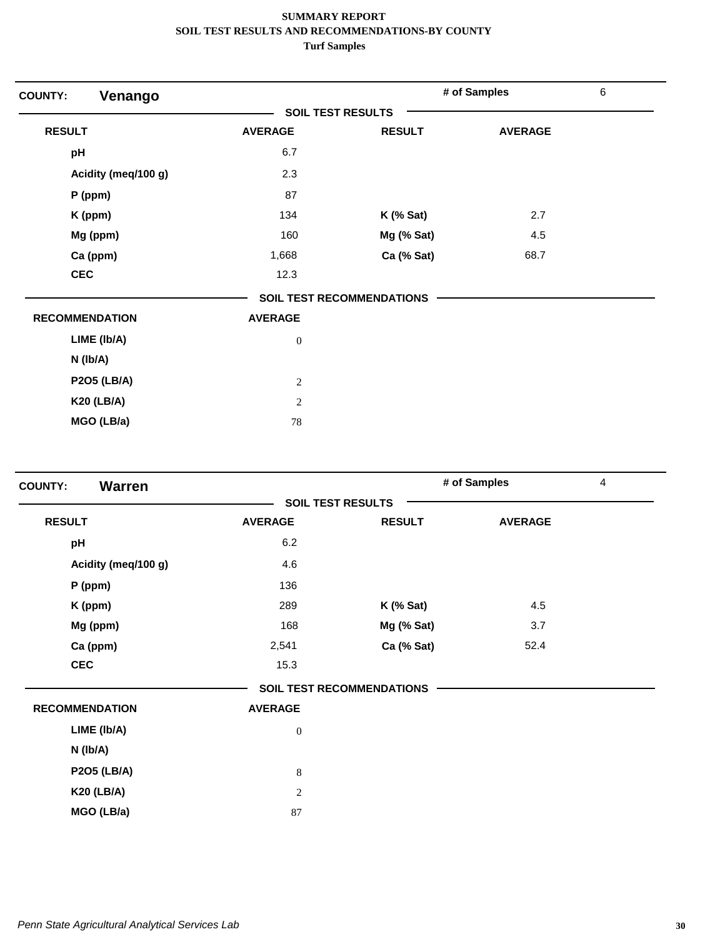| <b>COUNTY:</b><br>Venango |                          |                                  | # of Samples   | $\,6\,$ |
|---------------------------|--------------------------|----------------------------------|----------------|---------|
|                           | <b>SOIL TEST RESULTS</b> |                                  |                |         |
| <b>RESULT</b>             | <b>AVERAGE</b>           | <b>RESULT</b>                    | <b>AVERAGE</b> |         |
| pH                        | 6.7                      |                                  |                |         |
| Acidity (meq/100 g)       | 2.3                      |                                  |                |         |
| $P$ (ppm)                 | 87                       |                                  |                |         |
| K (ppm)                   | 134                      | $K$ (% Sat)                      | 2.7            |         |
| Mg (ppm)                  | 160                      | Mg (% Sat)                       | 4.5            |         |
| Ca (ppm)                  | 1,668                    | Ca (% Sat)                       | 68.7           |         |
| <b>CEC</b>                | 12.3                     |                                  |                |         |
|                           |                          | <b>SOIL TEST RECOMMENDATIONS</b> |                |         |
| <b>RECOMMENDATION</b>     | <b>AVERAGE</b>           |                                  |                |         |
| LIME (Ib/A)               | $\boldsymbol{0}$         |                                  |                |         |
| $N$ (lb/A)                |                          |                                  |                |         |
| <b>P2O5 (LB/A)</b>        | $\mathbf{2}$             |                                  |                |         |
| <b>K20 (LB/A)</b>         | 2                        |                                  |                |         |
| MGO (LB/a)                | 78                       |                                  |                |         |

| <b>Warren</b><br><b>COUNTY:</b> |                |                                  | # of Samples   | $\overline{4}$ |
|---------------------------------|----------------|----------------------------------|----------------|----------------|
|                                 |                | <b>SOIL TEST RESULTS</b>         |                |                |
| <b>RESULT</b>                   | <b>AVERAGE</b> | <b>RESULT</b>                    | <b>AVERAGE</b> |                |
| pH                              | 6.2            |                                  |                |                |
| Acidity (meq/100 g)             | 4.6            |                                  |                |                |
| P (ppm)                         | 136            |                                  |                |                |
| K (ppm)                         | 289            | $K$ (% Sat)                      | 4.5            |                |
| Mg (ppm)                        | 168            | Mg (% Sat)                       | 3.7            |                |
| Ca (ppm)                        | 2,541          | Ca (% Sat)                       | 52.4           |                |
| <b>CEC</b>                      | 15.3           |                                  |                |                |
|                                 |                | <b>SOIL TEST RECOMMENDATIONS</b> |                |                |
| <b>RECOMMENDATION</b>           | <b>AVERAGE</b> |                                  |                |                |
| LIME (Ib/A)                     | $\mathbf{0}$   |                                  |                |                |
| N (Ib/A)                        |                |                                  |                |                |
| <b>P2O5 (LB/A)</b>              | $8\,$          |                                  |                |                |
| <b>K20 (LB/A)</b>               | 2              |                                  |                |                |
| MGO (LB/a)                      | 87             |                                  |                |                |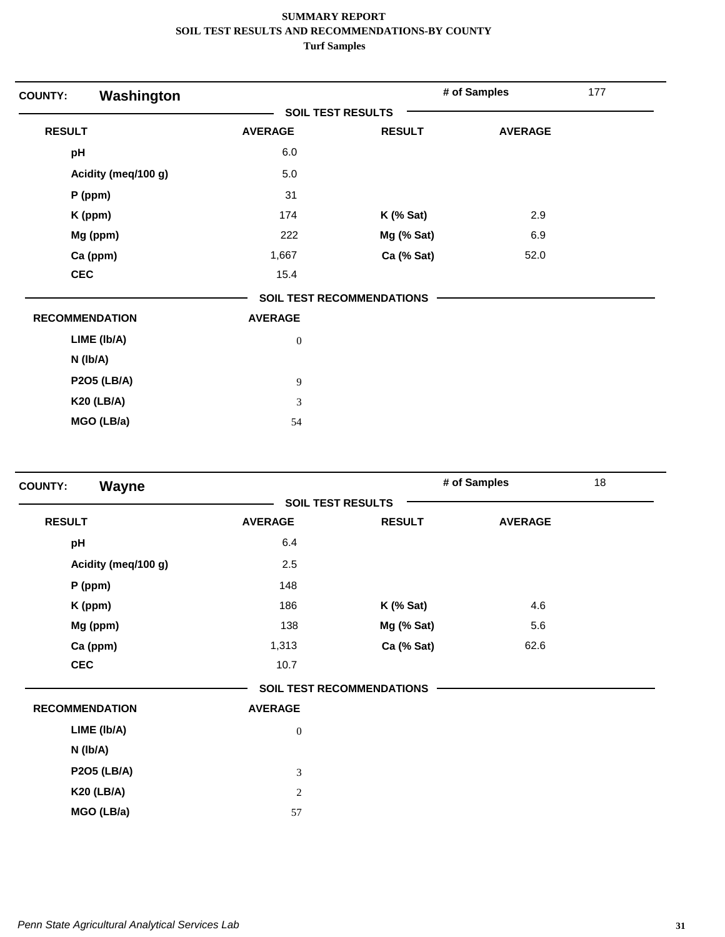| Washington<br><b>COUNTY:</b> |                          |                                  | # of Samples   | 177 |
|------------------------------|--------------------------|----------------------------------|----------------|-----|
|                              | <b>SOIL TEST RESULTS</b> |                                  |                |     |
| <b>RESULT</b>                | <b>AVERAGE</b>           | <b>RESULT</b>                    | <b>AVERAGE</b> |     |
| pH                           | 6.0                      |                                  |                |     |
| Acidity (meq/100 g)          | $5.0\,$                  |                                  |                |     |
| P (ppm)                      | 31                       |                                  |                |     |
| K (ppm)                      | 174                      | $K$ (% Sat)                      | 2.9            |     |
| Mg (ppm)                     | 222                      | Mg (% Sat)                       | 6.9            |     |
| Ca (ppm)                     | 1,667                    | Ca (% Sat)                       | 52.0           |     |
| <b>CEC</b>                   | 15.4                     |                                  |                |     |
|                              |                          | <b>SOIL TEST RECOMMENDATIONS</b> |                |     |
| <b>RECOMMENDATION</b>        | <b>AVERAGE</b>           |                                  |                |     |
| LIME (Ib/A)                  | $\boldsymbol{0}$         |                                  |                |     |
| $N$ ( $lb/A$ )               |                          |                                  |                |     |
| <b>P2O5 (LB/A)</b>           | 9                        |                                  |                |     |
| <b>K20 (LB/A)</b>            | 3                        |                                  |                |     |
| MGO (LB/a)                   | 54                       |                                  |                |     |

| Wayne<br><b>COUNTY:</b> |                          |                                  | # of Samples   | 18 |
|-------------------------|--------------------------|----------------------------------|----------------|----|
|                         | <b>SOIL TEST RESULTS</b> |                                  |                |    |
| <b>RESULT</b>           | <b>AVERAGE</b>           | <b>RESULT</b>                    | <b>AVERAGE</b> |    |
| pH                      | 6.4                      |                                  |                |    |
| Acidity (meq/100 g)     | 2.5                      |                                  |                |    |
| P (ppm)                 | 148                      |                                  |                |    |
| K (ppm)                 | 186                      | $K$ (% Sat)                      | 4.6            |    |
| Mg (ppm)                | 138                      | Mg (% Sat)                       | 5.6            |    |
| Ca (ppm)                | 1,313                    | Ca (% Sat)                       | 62.6           |    |
| <b>CEC</b>              | 10.7                     |                                  |                |    |
|                         |                          | <b>SOIL TEST RECOMMENDATIONS</b> |                |    |
| <b>RECOMMENDATION</b>   | <b>AVERAGE</b>           |                                  |                |    |
| LIME (Ib/A)             | $\mathbf{0}$             |                                  |                |    |
| N (Ib/A)                |                          |                                  |                |    |
| <b>P2O5 (LB/A)</b>      | $\mathfrak{Z}$           |                                  |                |    |
| <b>K20 (LB/A)</b>       | $\sqrt{2}$               |                                  |                |    |
| MGO (LB/a)              | 57                       |                                  |                |    |
|                         |                          |                                  |                |    |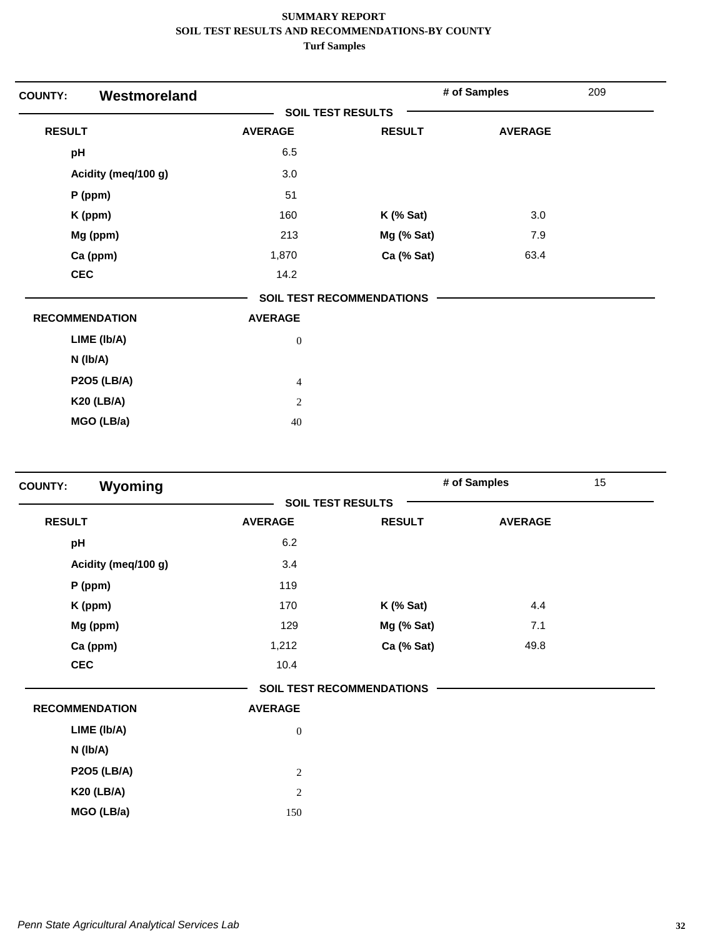| <b>COUNTY:</b> | Westmoreland          |                          |                                  | # of Samples   | 209 |
|----------------|-----------------------|--------------------------|----------------------------------|----------------|-----|
|                |                       | <b>SOIL TEST RESULTS</b> |                                  |                |     |
| <b>RESULT</b>  |                       | <b>AVERAGE</b>           | <b>RESULT</b>                    | <b>AVERAGE</b> |     |
| pH             |                       | 6.5                      |                                  |                |     |
|                | Acidity (meq/100 g)   | 3.0                      |                                  |                |     |
|                | P (ppm)               | 51                       |                                  |                |     |
|                | K (ppm)               | 160                      | $K$ (% Sat)                      | 3.0            |     |
|                | Mg (ppm)              | 213                      | Mg (% Sat)                       | 7.9            |     |
|                | Ca (ppm)              | 1,870                    | Ca (% Sat)                       | 63.4           |     |
| <b>CEC</b>     |                       | 14.2                     |                                  |                |     |
|                |                       |                          | <b>SOIL TEST RECOMMENDATIONS</b> |                |     |
|                | <b>RECOMMENDATION</b> | <b>AVERAGE</b>           |                                  |                |     |
|                | LIME (Ib/A)           | $\boldsymbol{0}$         |                                  |                |     |
|                | $N$ ( $lb/A$ )        |                          |                                  |                |     |
|                | <b>P2O5 (LB/A)</b>    | $\overline{4}$           |                                  |                |     |
|                | <b>K20 (LB/A)</b>     | $\overline{2}$           |                                  |                |     |
|                | MGO (LB/a)            | 40                       |                                  |                |     |

|                          |               |                                  | 15 <sub>1</sub> |
|--------------------------|---------------|----------------------------------|-----------------|
| <b>SOIL TEST RESULTS</b> |               |                                  |                 |
| <b>AVERAGE</b>           | <b>RESULT</b> | <b>AVERAGE</b>                   |                 |
| 6.2                      |               |                                  |                 |
| 3.4                      |               |                                  |                 |
| 119                      |               |                                  |                 |
| 170                      | $K$ (% Sat)   | 4.4                              |                 |
| 129                      | Mg (% Sat)    | 7.1                              |                 |
| 1,212                    | Ca (% Sat)    | 49.8                             |                 |
| 10.4                     |               |                                  |                 |
|                          |               |                                  |                 |
| <b>AVERAGE</b>           |               |                                  |                 |
| $\mathbf{0}$             |               |                                  |                 |
|                          |               |                                  |                 |
| $\sqrt{2}$               |               |                                  |                 |
| $\sqrt{2}$               |               |                                  |                 |
| 150                      |               |                                  |                 |
|                          |               | <b>SOIL TEST RECOMMENDATIONS</b> | # of Samples    |